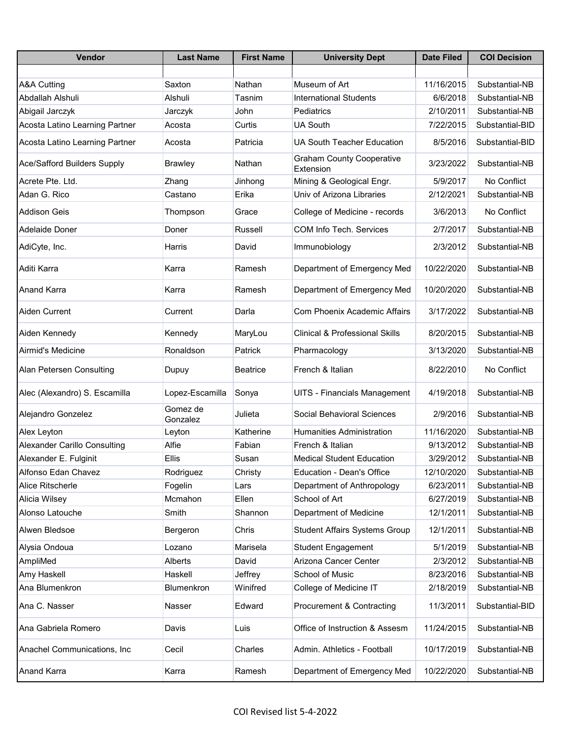| <b>Vendor</b>                       | <b>Last Name</b>     | <b>First Name</b> | <b>University Dept</b>                        | <b>Date Filed</b> | <b>COI Decision</b> |
|-------------------------------------|----------------------|-------------------|-----------------------------------------------|-------------------|---------------------|
|                                     |                      |                   |                                               |                   |                     |
| <b>A&amp;A Cutting</b>              | Saxton               | Nathan            | Museum of Art                                 | 11/16/2015        | Substantial-NB      |
| Abdallah Alshuli                    | Alshuli              | Tasnim            | <b>International Students</b>                 | 6/6/2018          | Substantial-NB      |
| Abigail Jarczyk                     | Jarczyk              | John              | Pediatrics                                    | 2/10/2011         | Substantial-NB      |
| Acosta Latino Learning Partner      | Acosta               | Curtis            | <b>UA South</b>                               | 7/22/2015         | Substantial-BID     |
| Acosta Latino Learning Partner      | Acosta               | Patricia          | <b>UA South Teacher Education</b>             | 8/5/2016          | Substantial-BID     |
| <b>Ace/Safford Builders Supply</b>  | <b>Brawley</b>       | Nathan            | <b>Graham County Cooperative</b><br>Extension | 3/23/2022         | Substantial-NB      |
| Acrete Pte. Ltd.                    | Zhang                | Jinhong           | Mining & Geological Engr.                     | 5/9/2017          | No Conflict         |
| Adan G. Rico                        | Castano              | Erika             | Univ of Arizona Libraries                     | 2/12/2021         | Substantial-NB      |
| <b>Addison Geis</b>                 | Thompson             | Grace             | College of Medicine - records                 | 3/6/2013          | No Conflict         |
| Adelaide Doner                      | Doner                | Russell           | <b>COM Info Tech. Services</b>                | 2/7/2017          | Substantial-NB      |
| AdiCyte, Inc.                       | Harris               | David             | Immunobiology                                 | 2/3/2012          | Substantial-NB      |
| Aditi Karra                         | Karra                | Ramesh            | Department of Emergency Med                   | 10/22/2020        | Substantial-NB      |
| <b>Anand Karra</b>                  | Karra                | Ramesh            | Department of Emergency Med                   | 10/20/2020        | Substantial-NB      |
| Aiden Current                       | Current              | Darla             | <b>Com Phoenix Academic Affairs</b>           | 3/17/2022         | Substantial-NB      |
| Aiden Kennedy                       | Kennedy              | MaryLou           | <b>Clinical &amp; Professional Skills</b>     | 8/20/2015         | Substantial-NB      |
| Airmid's Medicine                   | Ronaldson            | Patrick           | Pharmacology                                  | 3/13/2020         | Substantial-NB      |
| Alan Petersen Consulting            | Dupuy                | <b>Beatrice</b>   | French & Italian                              | 8/22/2010         | No Conflict         |
| Alec (Alexandro) S. Escamilla       | Lopez-Escamilla      | Sonya             | UITS - Financials Management                  | 4/19/2018         | Substantial-NB      |
| Alejandro Gonzelez                  | Gomez de<br>Gonzalez | Julieta           | Social Behavioral Sciences                    | 2/9/2016          | Substantial-NB      |
| Alex Leyton                         | Leyton               | Katherine         | <b>Humanities Administration</b>              | 11/16/2020        | Substantial-NB      |
| <b>Alexander Carillo Consulting</b> | Alfie                | Fabian            | French & Italian                              | 9/13/2012         | Substantial-NB      |
| Alexander E. Fulginit               | Ellis                | Susan             | <b>Medical Student Education</b>              | 3/29/2012         | Substantial-NB      |
| Alfonso Edan Chavez                 | Rodriguez            | Christy           | Education - Dean's Office                     | 12/10/2020        | Substantial-NB      |
| Alice Ritscherle                    | Fogelin              | Lars              | Department of Anthropology                    | 6/23/2011         | Substantial-NB      |
| Alicia Wilsey                       | Mcmahon              | Ellen             | School of Art                                 | 6/27/2019         | Substantial-NB      |
| Alonso Latouche                     | Smith                | Shannon           | Department of Medicine                        | 12/1/2011         | Substantial-NB      |
| Alwen Bledsoe                       | Bergeron             | Chris             | <b>Student Affairs Systems Group</b>          | 12/1/2011         | Substantial-NB      |
| Alysia Ondoua                       | Lozano               | Marisela          | <b>Student Engagement</b>                     | 5/1/2019          | Substantial-NB      |
| AmpliMed                            | Alberts              | David             | Arizona Cancer Center                         | 2/3/2012          | Substantial-NB      |
| Amy Haskell                         | Haskell              | Jeffrey           | School of Music                               | 8/23/2016         | Substantial-NB      |
| Ana Blumenkron                      | Blumenkron           | Winifred          | College of Medicine IT                        | 2/18/2019         | Substantial-NB      |
| Ana C. Nasser                       | Nasser               | Edward            | Procurement & Contracting                     | 11/3/2011         | Substantial-BID     |
| Ana Gabriela Romero                 | Davis                | Luis              | Office of Instruction & Assesm                | 11/24/2015        | Substantial-NB      |
| Anachel Communications, Inc         | Cecil                | Charles           | Admin. Athletics - Football                   | 10/17/2019        | Substantial-NB      |
| Anand Karra                         | Karra                | Ramesh            | Department of Emergency Med                   | 10/22/2020        | Substantial-NB      |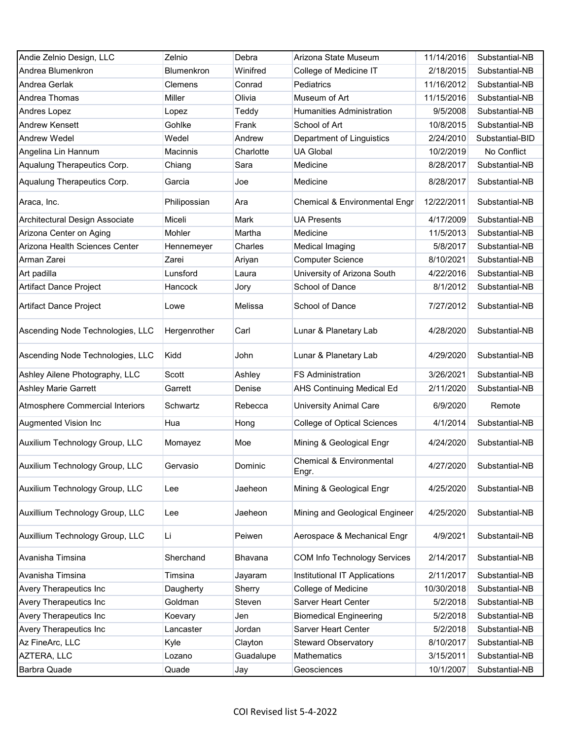| Andie Zelnio Design, LLC         | Zelnio          | Debra     | Arizona State Museum                | 11/14/2016 | Substantial-NB  |
|----------------------------------|-----------------|-----------|-------------------------------------|------------|-----------------|
| Andrea Blumenkron                | Blumenkron      | Winifred  | College of Medicine IT              | 2/18/2015  | Substantial-NB  |
| Andrea Gerlak                    | Clemens         | Conrad    | Pediatrics                          | 11/16/2012 | Substantial-NB  |
| Andrea Thomas                    | Miller          | Olivia    | Museum of Art                       | 11/15/2016 | Substantial-NB  |
| Andres Lopez                     | Lopez           | Teddy     | <b>Humanities Administration</b>    | 9/5/2008   | Substantial-NB  |
| <b>Andrew Kensett</b>            | Gohlke          | Frank     | School of Art                       | 10/8/2015  | Substantial-NB  |
| Andrew Wedel                     | Wedel           | Andrew    | Department of Linguistics           | 2/24/2010  | Substantial-BID |
| Angelina Lin Hannum              | <b>Macinnis</b> | Charlotte | <b>UA Global</b>                    | 10/2/2019  | No Conflict     |
| Aqualung Therapeutics Corp.      | Chiang          | Sara      | Medicine                            | 8/28/2017  | Substantial-NB  |
| Aqualung Therapeutics Corp.      | Garcia          | Joe       | Medicine                            | 8/28/2017  | Substantial-NB  |
| Araca, Inc.                      | Philipossian    | Ara       | Chemical & Environmental Engr       | 12/22/2011 | Substantial-NB  |
| Architectural Design Associate   | Miceli          | Mark      | <b>UA Presents</b>                  | 4/17/2009  | Substantial-NB  |
| Arizona Center on Aging          | Mohler          | Martha    | Medicine                            | 11/5/2013  | Substantial-NB  |
| Arizona Health Sciences Center   | Hennemeyer      | Charles   | Medical Imaging                     | 5/8/2017   | Substantial-NB  |
| Arman Zarei                      | Zarei           | Ariyan    | <b>Computer Science</b>             | 8/10/2021  | Substantial-NB  |
| Art padilla                      | Lunsford        | Laura     | University of Arizona South         | 4/22/2016  | Substantial-NB  |
| Artifact Dance Project           | Hancock         | Jory      | School of Dance                     | 8/1/2012   | Substantial-NB  |
| <b>Artifact Dance Project</b>    | Lowe            | Melissa   | School of Dance                     | 7/27/2012  | Substantial-NB  |
| Ascending Node Technologies, LLC | Hergenrother    | Carl      | Lunar & Planetary Lab               | 4/28/2020  | Substantial-NB  |
| Ascending Node Technologies, LLC | Kidd            | John      | Lunar & Planetary Lab               | 4/29/2020  | Substantial-NB  |
| Ashley Ailene Photography, LLC   | Scott           | Ashley    | <b>FS Administration</b>            | 3/26/2021  | Substantial-NB  |
| <b>Ashley Marie Garrett</b>      | Garrett         | Denise    | <b>AHS Continuing Medical Ed</b>    | 2/11/2020  | Substantial-NB  |
| Atmosphere Commercial Interiors  | Schwartz        | Rebecca   | <b>University Animal Care</b>       | 6/9/2020   | Remote          |
| Augmented Vision Inc             | Hua             | Hong      | <b>College of Optical Sciences</b>  | 4/1/2014   | Substantial-NB  |
| Auxilium Technology Group, LLC   | Momayez         | Moe       | Mining & Geological Engr            | 4/24/2020  | Substantial-NB  |
| Auxilium Technology Group, LLC   | Gervasio        | Dominic   | Chemical & Environmental<br>Engr.   | 4/27/2020  | Substantial-NB  |
| Auxilium Technology Group, LLC   | Lee             | Jaeheon   | Mining & Geological Engr            | 4/25/2020  | Substantial-NB  |
| Auxillium Technology Group, LLC  | Lee             | Jaeheon   | Mining and Geological Engineer      | 4/25/2020  | Substantial-NB  |
| Auxillium Technology Group, LLC  | Li              | Peiwen    | Aerospace & Mechanical Engr         | 4/9/2021   | Substantail-NB  |
| Avanisha Timsina                 | Sherchand       | Bhavana   | <b>COM Info Technology Services</b> | 2/14/2017  | Substantial-NB  |
| Avanisha Timsina                 | Timsina         | Jayaram   | Institutional IT Applications       | 2/11/2017  | Substantial-NB  |
| Avery Therapeutics Inc           | Daugherty       | Sherry    | College of Medicine                 | 10/30/2018 | Substantial-NB  |
| Avery Therapeutics Inc           | Goldman         | Steven    | Sarver Heart Center                 | 5/2/2018   | Substantial-NB  |
| Avery Therapeutics Inc           | Koevary         | Jen       | <b>Biomedical Engineering</b>       | 5/2/2018   | Substantial-NB  |
| Avery Therapeutics Inc           | Lancaster       | Jordan    | Sarver Heart Center                 | 5/2/2018   | Substantial-NB  |
| Az FineArc, LLC                  | Kyle            | Clayton   | <b>Steward Observatory</b>          | 8/10/2017  | Substantial-NB  |
| AZTERA, LLC                      | Lozano          | Guadalupe | Mathematics                         | 3/15/2011  | Substantial-NB  |
| Barbra Quade                     | Quade           | Jay       | Geosciences                         | 10/1/2007  | Substantial-NB  |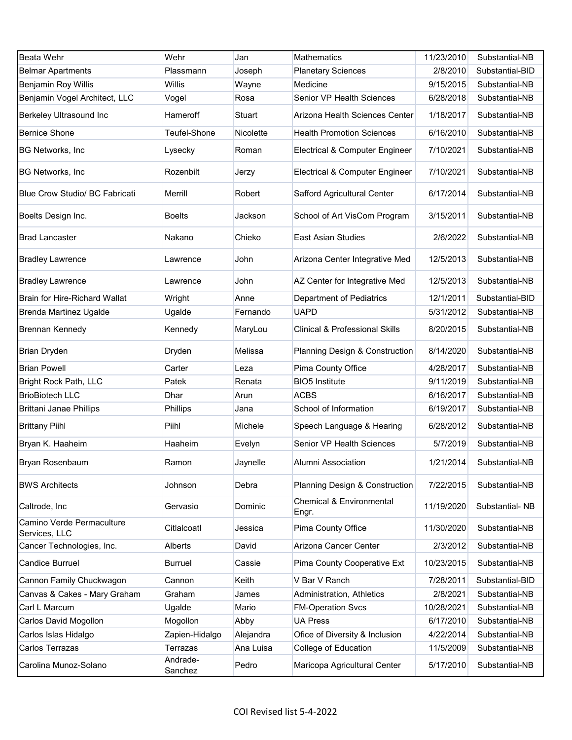| <b>Beata Wehr</b>                          | Wehr                | Jan       | Mathematics                                  | 11/23/2010 | Substantial-NB  |
|--------------------------------------------|---------------------|-----------|----------------------------------------------|------------|-----------------|
| <b>Belmar Apartments</b>                   | Plassmann           | Joseph    | <b>Planetary Sciences</b>                    | 2/8/2010   | Substantial-BID |
| Benjamin Roy Willis                        | Willis              | Wayne     | Medicine                                     | 9/15/2015  | Substantial-NB  |
| Benjamin Vogel Architect, LLC              | Vogel               | Rosa      | Senior VP Health Sciences                    | 6/28/2018  | Substantial-NB  |
| Berkeley Ultrasound Inc                    | Hameroff            | Stuart    | Arizona Health Sciences Center               | 1/18/2017  | Substantial-NB  |
| <b>Bernice Shone</b>                       | Teufel-Shone        | Nicolette | <b>Health Promotion Sciences</b>             | 6/16/2010  | Substantial-NB  |
| <b>BG Networks, Inc</b>                    | Lysecky             | Roman     | Electrical & Computer Engineer               | 7/10/2021  | Substantial-NB  |
| <b>BG Networks, Inc</b>                    | Rozenbilt           | Jerzy     | Electrical & Computer Engineer               | 7/10/2021  | Substantial-NB  |
| Blue Crow Studio/ BC Fabricati             | Merrill             | Robert    | Safford Agricultural Center                  | 6/17/2014  | Substantial-NB  |
| Boelts Design Inc.                         | Boelts              | Jackson   | School of Art VisCom Program                 | 3/15/2011  | Substantial-NB  |
| <b>Brad Lancaster</b>                      | Nakano              | Chieko    | <b>East Asian Studies</b>                    | 2/6/2022   | Substantial-NB  |
| <b>Bradley Lawrence</b>                    | Lawrence            | John      | Arizona Center Integrative Med               | 12/5/2013  | Substantial-NB  |
| <b>Bradley Lawrence</b>                    | Lawrence            | John      | AZ Center for Integrative Med                | 12/5/2013  | Substantial-NB  |
| <b>Brain for Hire-Richard Wallat</b>       | Wright              | Anne      | <b>Department of Pediatrics</b>              | 12/1/2011  | Substantial-BID |
| Brenda Martinez Ugalde                     | Ugalde              | Fernando  | <b>UAPD</b>                                  | 5/31/2012  | Substantial-NB  |
| Brennan Kennedy                            | Kennedy             | MaryLou   | <b>Clinical &amp; Professional Skills</b>    | 8/20/2015  | Substantial-NB  |
| <b>Brian Dryden</b>                        | Dryden              | Melissa   | Planning Design & Construction               | 8/14/2020  | Substantial-NB  |
| <b>Brian Powell</b>                        | Carter              | Leza      | Pima County Office                           | 4/28/2017  | Substantial-NB  |
| Bright Rock Path, LLC                      | Patek               | Renata    | <b>BIO5</b> Institute                        | 9/11/2019  | Substantial-NB  |
| <b>BrioBiotech LLC</b>                     | Dhar                | Arun      | <b>ACBS</b>                                  | 6/16/2017  | Substantial-NB  |
| <b>Brittani Janae Phillips</b>             | Phillips            | Jana      | School of Information                        | 6/19/2017  | Substantial-NB  |
| <b>Brittany Piihl</b>                      | Piihl               | Michele   | Speech Language & Hearing                    | 6/28/2012  | Substantial-NB  |
| Bryan K. Haaheim                           | Haaheim             | Evelyn    | Senior VP Health Sciences                    | 5/7/2019   | Substantial-NB  |
| <b>Bryan Rosenbaum</b>                     | Ramon               | Jaynelle  | Alumni Association                           | 1/21/2014  | Substantial-NB  |
| <b>BWS Architects</b>                      | Johnson             | Debra     | Planning Design & Construction               | 7/22/2015  | Substantial-NB  |
| Caltrode, Inc                              | Gervasio            | Dominic   | <b>Chemical &amp; Environmental</b><br>Engr. | 11/19/2020 | Substantial-NB  |
| Camino Verde Permaculture<br>Services, LLC | Citlalcoatl         | Jessica   | Pima County Office                           | 11/30/2020 | Substantial-NB  |
| Cancer Technologies, Inc.                  | <b>Alberts</b>      | David     | Arizona Cancer Center                        | 2/3/2012   | Substantial-NB  |
| Candice Burruel                            | <b>Burruel</b>      | Cassie    | Pima County Cooperative Ext                  | 10/23/2015 | Substantial-NB  |
| Cannon Family Chuckwagon                   | Cannon              | Keith     | V Bar V Ranch                                | 7/28/2011  | Substantial-BID |
| Canvas & Cakes - Mary Graham               | Graham              | James     | Administration, Athletics                    | 2/8/2021   | Substantial-NB  |
| Carl L Marcum                              | Ugalde              | Mario     | <b>FM-Operation Svcs</b>                     | 10/28/2021 | Substantial-NB  |
| Carlos David Mogollon                      | Mogollon            | Abby      | <b>UA Press</b>                              | 6/17/2010  | Substantial-NB  |
| Carlos Islas Hidalgo                       | Zapien-Hidalgo      | Alejandra | Ofice of Diversity & Inclusion               | 4/22/2014  | Substantial-NB  |
| Carlos Terrazas                            | Terrazas            | Ana Luisa | College of Education                         | 11/5/2009  | Substantial-NB  |
| Carolina Munoz-Solano                      | Andrade-<br>Sanchez | Pedro     | Maricopa Agricultural Center                 | 5/17/2010  | Substantial-NB  |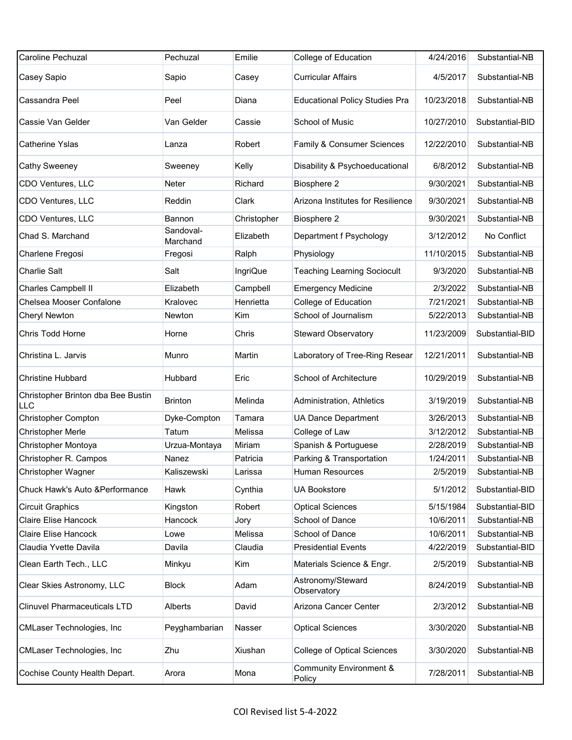| <b>Caroline Pechuzal</b>                  | Pechuzal              | Emilie          | College of Education                         | 4/24/2016  | Substantial-NB  |
|-------------------------------------------|-----------------------|-----------------|----------------------------------------------|------------|-----------------|
| Casey Sapio                               | Sapio                 | Casey           | <b>Curricular Affairs</b>                    | 4/5/2017   | Substantial-NB  |
| Cassandra Peel                            | Peel                  | Diana           | <b>Educational Policy Studies Pra</b>        | 10/23/2018 | Substantial-NB  |
| Cassie Van Gelder                         | Van Gelder            | Cassie          | School of Music                              | 10/27/2010 | Substantial-BID |
| Catherine Yslas                           | Lanza                 | Robert          | Family & Consumer Sciences                   | 12/22/2010 | Substantial-NB  |
| Cathy Sweeney                             | Sweeney               | Kelly           | Disability & Psychoeducational               | 6/8/2012   | Substantial-NB  |
| CDO Ventures, LLC                         | Neter                 | Richard         | Biosphere 2                                  | 9/30/2021  | Substantial-NB  |
| CDO Ventures, LLC                         | Reddin                | Clark           | Arizona Institutes for Resilience            | 9/30/2021  | Substantial-NB  |
| CDO Ventures, LLC                         | Bannon                | Christopher     | Biosphere 2                                  | 9/30/2021  | Substantial-NB  |
| Chad S. Marchand                          | Sandoval-<br>Marchand | Elizabeth       | Department f Psychology                      | 3/12/2012  | No Conflict     |
| Charlene Fregosi                          | Fregosi               | Ralph           | Physiology                                   | 11/10/2015 | Substantial-NB  |
| <b>Charlie Salt</b>                       | Salt                  | <b>IngriQue</b> | <b>Teaching Learning Sociocult</b>           | 9/3/2020   | Substantial-NB  |
| Charles Campbell II                       | Elizabeth             | Campbell        | <b>Emergency Medicine</b>                    | 2/3/2022   | Substantial-NB  |
| Chelsea Mooser Confalone                  | Kralovec              | Henrietta       | College of Education                         | 7/21/2021  | Substantial-NB  |
| Cheryl Newton                             | Newton                | Kim             | School of Journalism                         | 5/22/2013  | Substantial-NB  |
| Chris Todd Horne                          | Horne                 | Chris           | <b>Steward Observatory</b>                   | 11/23/2009 | Substantial-BID |
| Christina L. Jarvis                       | Munro                 | Martin          | Laboratory of Tree-Ring Resear               | 12/21/2011 | Substantial-NB  |
| <b>Christine Hubbard</b>                  | Hubbard               | Eric            | School of Architecture                       | 10/29/2019 | Substantial-NB  |
| Christopher Brinton dba Bee Bustin<br>LLC | <b>Brinton</b>        | Melinda         | Administration, Athletics                    | 3/19/2019  | Substantial-NB  |
| <b>Christopher Compton</b>                | Dyke-Compton          | Tamara          | <b>UA Dance Department</b>                   | 3/26/2013  | Substantial-NB  |
| <b>Christopher Merle</b>                  | Tatum                 | Melissa         | College of Law                               | 3/12/2012  | Substantial-NB  |
| Christopher Montoya                       | Urzua-Montaya         | Miriam          | Spanish & Portuguese                         | 2/28/2019  | Substantial-NB  |
| Christopher R. Campos                     | Nanez                 | Patricia        | Parking & Transportation                     | 1/24/2011  | Substantial-NB  |
| Christopher Wagner                        | Kaliszewski           | Larissa         | Human Resources                              | 2/5/2019   | Substantial-NB  |
| Chuck Hawk's Auto & Performance           | Hawk                  | Cynthia         | <b>UA Bookstore</b>                          | 5/1/2012   | Substantial-BID |
| <b>Circuit Graphics</b>                   | Kingston              | Robert          | <b>Optical Sciences</b>                      | 5/15/1984  | Substantial-BID |
| Claire Elise Hancock                      | Hancock               | Jory            | School of Dance                              | 10/6/2011  | Substantial-NB  |
| Claire Elise Hancock                      | Lowe                  | Melissa         | School of Dance                              | 10/6/2011  | Substantial-NB  |
| Claudia Yvette Davila                     | Davila                | Claudia         | <b>Presidential Events</b>                   | 4/22/2019  | Substantial-BID |
| Clean Earth Tech., LLC                    | Minkyu                | Kim             | Materials Science & Engr.                    | 2/5/2019   | Substantial-NB  |
| Clear Skies Astronomy, LLC                | <b>Block</b>          | Adam            | Astronomy/Steward<br>Observatory             | 8/24/2019  | Substantial-NB  |
| <b>Clinuvel Pharmaceuticals LTD</b>       | Alberts               | David           | Arizona Cancer Center                        | 2/3/2012   | Substantial-NB  |
| CMLaser Technologies, Inc                 | Peyghambarian         | Nasser          | <b>Optical Sciences</b>                      | 3/30/2020  | Substantial-NB  |
| CMLaser Technologies, Inc                 | Zhu                   | Xiushan         | College of Optical Sciences                  | 3/30/2020  | Substantial-NB  |
| Cochise County Health Depart.             | Arora                 | Mona            | <b>Community Environment &amp;</b><br>Policy | 7/28/2011  | Substantial-NB  |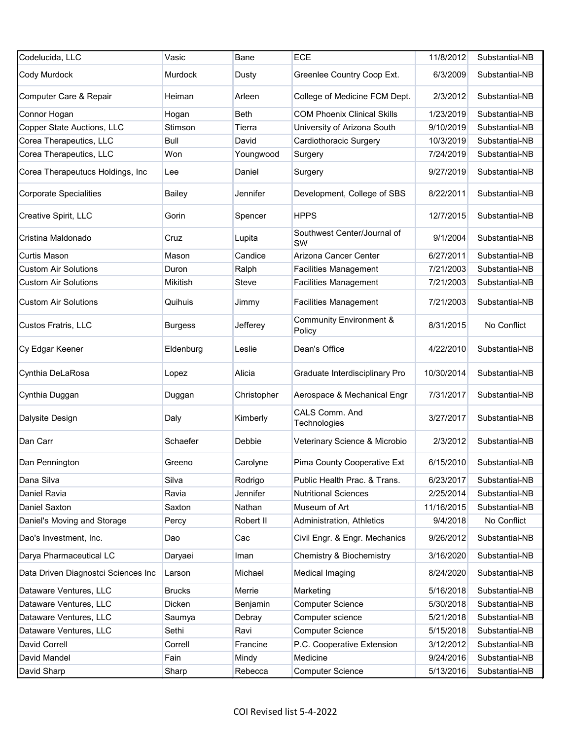| Codelucida, LLC                     | Vasic           | Bane         | <b>ECE</b>                                   | 11/8/2012  | Substantial-NB |
|-------------------------------------|-----------------|--------------|----------------------------------------------|------------|----------------|
| Cody Murdock                        | Murdock         | Dusty        | Greenlee Country Coop Ext.                   | 6/3/2009   | Substantial-NB |
| Computer Care & Repair              | Heiman          | Arleen       | College of Medicine FCM Dept.                | 2/3/2012   | Substantial-NB |
| Connor Hogan                        | Hogan           | <b>Beth</b>  | <b>COM Phoenix Clinical Skills</b>           | 1/23/2019  | Substantial-NB |
| Copper State Auctions, LLC          | Stimson         | Tierra       | University of Arizona South                  | 9/10/2019  | Substantial-NB |
| Corea Therapeutics, LLC             | <b>Bull</b>     | David        | Cardiothoracic Surgery                       | 10/3/2019  | Substantial-NB |
| Corea Therapeutics, LLC             | Won             | Youngwood    | Surgery                                      | 7/24/2019  | Substantial-NB |
| Corea Therapeutucs Holdings, Inc    | Lee             | Daniel       | Surgery                                      | 9/27/2019  | Substantial-NB |
| <b>Corporate Specialities</b>       | <b>Bailey</b>   | Jennifer     | Development, College of SBS                  | 8/22/2011  | Substantial-NB |
| Creative Spirit, LLC                | Gorin           | Spencer      | <b>HPPS</b>                                  | 12/7/2015  | Substantial-NB |
| Cristina Maldonado                  | Cruz            | Lupita       | Southwest Center/Journal of<br>SW            | 9/1/2004   | Substantial-NB |
| Curtis Mason                        | Mason           | Candice      | Arizona Cancer Center                        | 6/27/2011  | Substantial-NB |
| <b>Custom Air Solutions</b>         | Duron           | Ralph        | <b>Facilities Management</b>                 | 7/21/2003  | Substantial-NB |
| <b>Custom Air Solutions</b>         | <b>Mikitish</b> | <b>Steve</b> | <b>Facilities Management</b>                 | 7/21/2003  | Substantial-NB |
| <b>Custom Air Solutions</b>         | Quihuis         | Jimmy        | <b>Facilities Management</b>                 | 7/21/2003  | Substantial-NB |
| Custos Fratris, LLC                 | <b>Burgess</b>  | Jefferey     | <b>Community Environment &amp;</b><br>Policy | 8/31/2015  | No Conflict    |
| Cy Edgar Keener                     | Eldenburg       | Leslie       | Dean's Office                                | 4/22/2010  | Substantial-NB |
| Cynthia DeLaRosa                    | Lopez           | Alicia       | Graduate Interdisciplinary Pro               | 10/30/2014 | Substantial-NB |
| Cynthia Duggan                      | Duggan          | Christopher  | Aerospace & Mechanical Engr                  | 7/31/2017  | Substantial-NB |
| Dalysite Design                     | Daly            | Kimberly     | CALS Comm. And<br>Technologies               | 3/27/2017  | Substantial-NB |
| Dan Carr                            | Schaefer        | Debbie       | Veterinary Science & Microbio                | 2/3/2012   | Substantial-NB |
| Dan Pennington                      | Greeno          | Carolyne     | Pima County Cooperative Ext                  | 6/15/2010  | Substantial-NB |
| Dana Silva                          | Silva           | Rodrigo      | Public Health Prac. & Trans.                 | 6/23/2017  | Substantial-NB |
| Daniel Ravia                        | Ravia           | Jennifer     | <b>Nutritional Sciences</b>                  | 2/25/2014  | Substantial-NB |
| Daniel Saxton                       | Saxton          | Nathan       | Museum of Art                                | 11/16/2015 | Substantial-NB |
| Daniel's Moving and Storage         | Percy           | Robert II    | Administration, Athletics                    | 9/4/2018   | No Conflict    |
| Dao's Investment, Inc.              | Dao             | Cac          | Civil Engr. & Engr. Mechanics                | 9/26/2012  | Substantial-NB |
| Darya Pharmaceutical LC             | Daryaei         | lman         | Chemistry & Biochemistry                     | 3/16/2020  | Substantial-NB |
| Data Driven Diagnostci Sciences Inc | Larson          | Michael      | Medical Imaging                              | 8/24/2020  | Substantial-NB |
| Dataware Ventures, LLC              | <b>Brucks</b>   | Merrie       | Marketing                                    | 5/16/2018  | Substantial-NB |
| Dataware Ventures, LLC              | Dicken          | Benjamin     | <b>Computer Science</b>                      | 5/30/2018  | Substantial-NB |
| Dataware Ventures, LLC              | Saumya          | Debray       | Computer science                             | 5/21/2018  | Substantial-NB |
| Dataware Ventures, LLC              | Sethi           | Ravi         | <b>Computer Science</b>                      | 5/15/2018  | Substantial-NB |
| David Correll                       | Correll         | Francine     | P.C. Cooperative Extension                   | 3/12/2012  | Substantial-NB |
| David Mandel                        | Fain            | Mindy        | Medicine                                     | 9/24/2016  | Substantial-NB |
| David Sharp                         | Sharp           | Rebecca      | <b>Computer Science</b>                      | 5/13/2016  | Substantial-NB |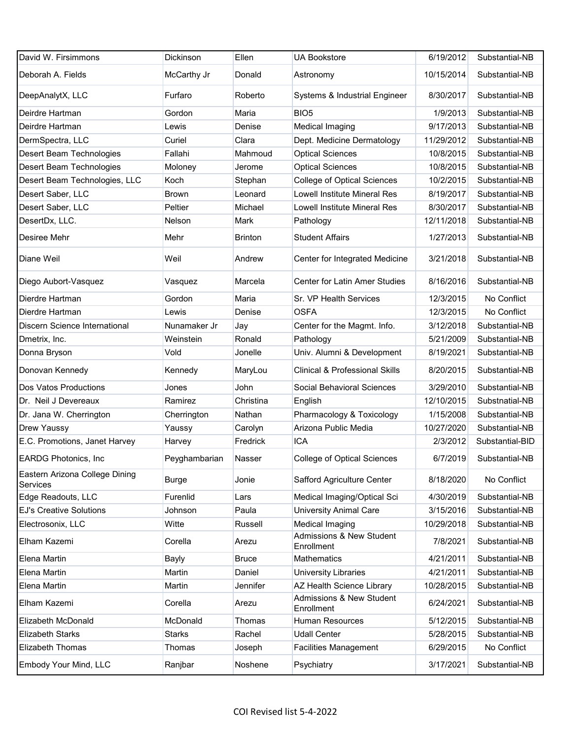| David W. Firsimmons                        | Dickinson     | Ellen          | <b>UA Bookstore</b>                       | 6/19/2012  | Substantial-NB  |
|--------------------------------------------|---------------|----------------|-------------------------------------------|------------|-----------------|
| Deborah A. Fields                          | McCarthy Jr   | Donald         | Astronomy                                 | 10/15/2014 | Substantial-NB  |
| DeepAnalytX, LLC                           | Furfaro       | Roberto        | Systems & Industrial Engineer             | 8/30/2017  | Substantial-NB  |
| Deirdre Hartman                            | Gordon        | Maria          | BIO <sub>5</sub>                          | 1/9/2013   | Substantial-NB  |
| Deirdre Hartman                            | Lewis         | Denise         | Medical Imaging                           | 9/17/2013  | Substantial-NB  |
| DermSpectra, LLC                           | Curiel        | Clara          | Dept. Medicine Dermatology                | 11/29/2012 | Substantial-NB  |
| Desert Beam Technologies                   | Fallahi       | Mahmoud        | <b>Optical Sciences</b>                   | 10/8/2015  | Substantial-NB  |
| Desert Beam Technologies                   | Moloney       | Jerome         | <b>Optical Sciences</b>                   | 10/8/2015  | Substantial-NB  |
| Desert Beam Technologies, LLC              | Koch          | Stephan        | <b>College of Optical Sciences</b>        | 10/2/2015  | Substantial-NB  |
| Desert Saber, LLC                          | <b>Brown</b>  | Leonard        | <b>Lowell Institute Mineral Res</b>       | 8/19/2017  | Substantial-NB  |
| Desert Saber, LLC                          | Peltier       | Michael        | <b>Lowell Institute Mineral Res</b>       | 8/30/2017  | Substantial-NB  |
| DesertDx, LLC.                             | Nelson        | Mark           | Pathology                                 | 12/11/2018 | Substantial-NB  |
| Desiree Mehr                               | Mehr          | <b>Brinton</b> | <b>Student Affairs</b>                    | 1/27/2013  | Substantial-NB  |
| Diane Weil                                 | Weil          | Andrew         | Center for Integrated Medicine            | 3/21/2018  | Substantial-NB  |
| Diego Aubort-Vasquez                       | Vasquez       | Marcela        | Center for Latin Amer Studies             | 8/16/2016  | Substantial-NB  |
| Dierdre Hartman                            | Gordon        | Maria          | Sr. VP Health Services                    | 12/3/2015  | No Conflict     |
| Dierdre Hartman                            | Lewis         | Denise         | <b>OSFA</b>                               | 12/3/2015  | No Conflict     |
| Discern Science International              | Nunamaker Jr  | Jay            | Center for the Magmt. Info.               | 3/12/2018  | Substantial-NB  |
| Dmetrix, Inc.                              | Weinstein     | Ronald         | Pathology                                 | 5/21/2009  | Substantial-NB  |
| Donna Bryson                               | Vold          | Jonelle        | Univ. Alumni & Development                | 8/19/2021  | Substantial-NB  |
| Donovan Kennedy                            | Kennedy       | MaryLou        | <b>Clinical &amp; Professional Skills</b> | 8/20/2015  | Substantial-NB  |
| Dos Vatos Productions                      | Jones         | John           | Social Behavioral Sciences                | 3/29/2010  | Substantial-NB  |
| Dr. Neil J Devereaux                       | Ramirez       | Christina      | English                                   | 12/10/2015 | Substnatial-NB  |
| Dr. Jana W. Cherrington                    | Cherrington   | Nathan         | Pharmacology & Toxicology                 | 1/15/2008  | Substantial-NB  |
| Drew Yaussy                                | Yaussy        | Carolyn        | Arizona Public Media                      | 10/27/2020 | Substantial-NB  |
| E.C. Promotions, Janet Harvey              | Harvey        | Fredrick       | <b>ICA</b>                                | 2/3/2012   | Substantial-BID |
| <b>EARDG Photonics, Inc.</b>               | Peyghambarian | Nasser         | <b>College of Optical Sciences</b>        | 6/7/2019   | Substantial-NB  |
| Eastern Arizona College Dining<br>Services | <b>Burge</b>  | Jonie          | Safford Agriculture Center                | 8/18/2020  | No Conflict     |
| Edge Readouts, LLC                         | Furenlid      | Lars           | Medical Imaging/Optical Sci               | 4/30/2019  | Substantial-NB  |
| <b>EJ's Creative Solutions</b>             | Johnson       | Paula          | <b>University Animal Care</b>             | 3/15/2016  | Substantial-NB  |
| Electrosonix, LLC                          | Witte         | Russell        | Medical Imaging                           | 10/29/2018 | Substantial-NB  |
| Elham Kazemi                               | Corella       | Arezu          | Admissions & New Student<br>Enrollment    | 7/8/2021   | Substantial-NB  |
| Elena Martin                               | <b>Bayly</b>  | Bruce          | <b>Mathematics</b>                        | 4/21/2011  | Substantial-NB  |
| Elena Martin                               | Martin        | Daniel         | University Libraries                      | 4/21/2011  | Substantial-NB  |
| Elena Martin                               | Martin        | Jennifer       | AZ Health Science Library                 | 10/28/2015 | Substantial-NB  |
| Elham Kazemi                               | Corella       | Arezu          | Admissions & New Student<br>Enrollment    | 6/24/2021  | Substantial-NB  |
| Elizabeth McDonald                         | McDonald      | Thomas         | Human Resources                           | 5/12/2015  | Substantial-NB  |
| <b>Elizabeth Starks</b>                    | <b>Starks</b> | Rachel         | <b>Udall Center</b>                       | 5/28/2015  | Substantial-NB  |
| <b>Elizabeth Thomas</b>                    | Thomas        | Joseph         | <b>Facilities Management</b>              | 6/29/2015  | No Conflict     |
| Embody Your Mind, LLC                      | Ranjbar       | Noshene        | Psychiatry                                | 3/17/2021  | Substantial-NB  |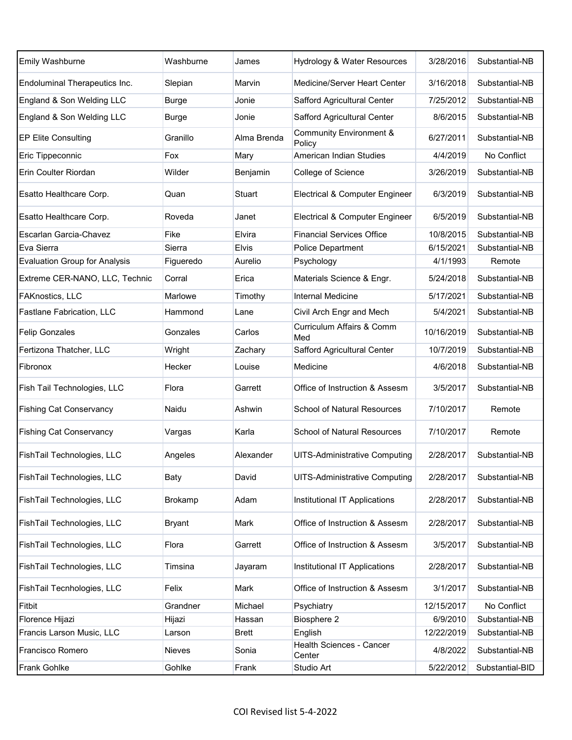| <b>Emily Washburne</b>               | Washburne    | James        | Hydrology & Water Resources          | 3/28/2016  | Substantial-NB  |
|--------------------------------------|--------------|--------------|--------------------------------------|------------|-----------------|
| Endoluminal Therapeutics Inc.        | Slepian      | Marvin       | Medicine/Server Heart Center         | 3/16/2018  | Substantial-NB  |
| England & Son Welding LLC            | <b>Burge</b> | Jonie        | Safford Agricultural Center          | 7/25/2012  | Substantial-NB  |
| England & Son Welding LLC            | <b>Burge</b> | Jonie        | Safford Agricultural Center          | 8/6/2015   | Substantial-NB  |
| <b>EP Elite Consulting</b>           | Granillo     | Alma Brenda  | Community Environment &<br>Policy    | 6/27/2011  | Substantial-NB  |
| Eric Tippeconnic                     | Fox          | Mary         | American Indian Studies              | 4/4/2019   | No Conflict     |
| Erin Coulter Riordan                 | Wilder       | Benjamin     | College of Science                   | 3/26/2019  | Substantial-NB  |
| Esatto Healthcare Corp.              | Quan         | Stuart       | Electrical & Computer Engineer       | 6/3/2019   | Substantial-NB  |
| Esatto Healthcare Corp.              | Roveda       | Janet        | Electrical & Computer Engineer       | 6/5/2019   | Substantial-NB  |
| Escarlan Garcia-Chavez               | Fike         | Elvira       | <b>Financial Services Office</b>     | 10/8/2015  | Substantial-NB  |
| Eva Sierra                           | Sierra       | <b>Elvis</b> | Police Department                    | 6/15/2021  | Substantial-NB  |
| <b>Evaluation Group for Analysis</b> | Figueredo    | Aurelio      | Psychology                           | 4/1/1993   | Remote          |
| Extreme CER-NANO, LLC, Technic       | Corral       | Erica        | Materials Science & Engr.            | 5/24/2018  | Substantial-NB  |
| FAKnostics, LLC                      | Marlowe      | Timothy      | <b>Internal Medicine</b>             | 5/17/2021  | Substantial-NB  |
| Fastlane Fabrication, LLC            | Hammond      | Lane         | Civil Arch Engr and Mech             | 5/4/2021   | Substantial-NB  |
| <b>Felip Gonzales</b>                | Gonzales     | Carlos       | Curriculum Affairs & Comm<br>Med     | 10/16/2019 | Substantial-NB  |
| Fertizona Thatcher, LLC              | Wright       | Zachary      | Safford Agricultural Center          | 10/7/2019  | Substantial-NB  |
| Fibronox                             | Hecker       | Louise       | Medicine                             | 4/6/2018   | Substantial-NB  |
| Fish Tail Technologies, LLC          | Flora        | Garrett      | Office of Instruction & Assesm       | 3/5/2017   | Substantial-NB  |
| <b>Fishing Cat Conservancy</b>       | Naidu        | Ashwin       | <b>School of Natural Resources</b>   | 7/10/2017  | Remote          |
| <b>Fishing Cat Conservancy</b>       | Vargas       | Karla        | <b>School of Natural Resources</b>   | 7/10/2017  | Remote          |
| FishTail Technologies, LLC           | Angeles      | Alexander    | <b>UITS-Administrative Computing</b> | 2/28/2017  | Substantial-NB  |
| FishTail Technologies, LLC           | <b>Baty</b>  | David        | <b>UITS-Administrative Computing</b> | 2/28/2017  | Substantial-NB  |
| FishTail Technologies, LLC           | Brokamp      | Adam         | Institutional IT Applications        | 2/28/2017  | Substantial-NB  |
| FishTail Technologies, LLC           | Bryant       | Mark         | Office of Instruction & Assesm       | 2/28/2017  | Substantial-NB  |
| FishTail Technologies, LLC           | Flora        | Garrett      | Office of Instruction & Assesm       | 3/5/2017   | Substantial-NB  |
| FishTail Technologies, LLC           | Timsina      | Jayaram      | Institutional IT Applications        | 2/28/2017  | Substantial-NB  |
| FishTail Tecnhologies, LLC           | Felix        | Mark         | Office of Instruction & Assesm       | 3/1/2017   | Substantial-NB  |
| <b>Fitbit</b>                        | Grandner     | Michael      | Psychiatry                           | 12/15/2017 | No Conflict     |
| Florence Hijazi                      | Hijazi       | Hassan       | Biosphere 2                          | 6/9/2010   | Substantial-NB  |
| Francis Larson Music, LLC            | Larson       | <b>Brett</b> | English                              | 12/22/2019 | Substantial-NB  |
| Francisco Romero                     | Nieves       | Sonia        | Health Sciences - Cancer<br>Center   | 4/8/2022   | Substantial-NB  |
| Frank Gohlke                         | Gohlke       | Frank        | Studio Art                           | 5/22/2012  | Substantial-BID |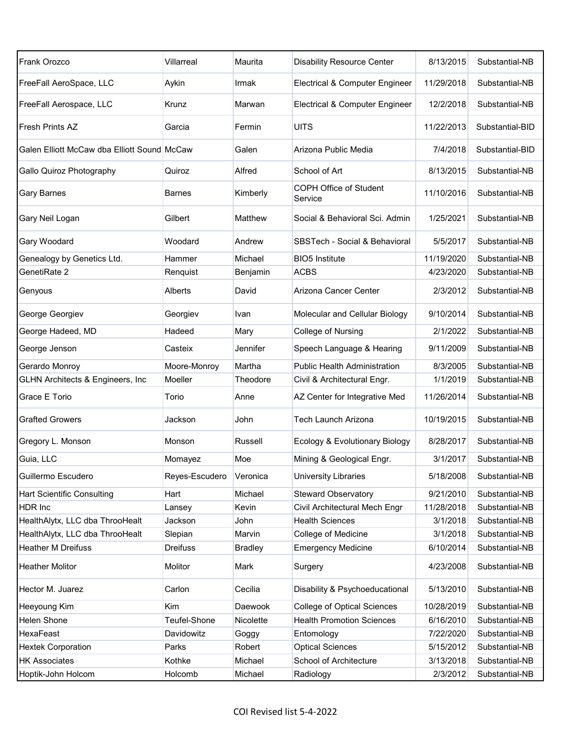| Frank Orozco                                | Villarreal      | Maurita        | <b>Disability Resource Center</b>   | 8/13/2015  | Substantial-NB  |
|---------------------------------------------|-----------------|----------------|-------------------------------------|------------|-----------------|
| FreeFall AeroSpace, LLC                     | Aykin           | Irmak          | Electrical & Computer Engineer      | 11/29/2018 | Substantial-NB  |
| FreeFall Aerospace, LLC                     | Krunz           | Marwan         | Electrical & Computer Engineer      | 12/2/2018  | Substantial-NB  |
| <b>Fresh Prints AZ</b>                      | Garcia          | Fermin         | <b>UITS</b>                         | 11/22/2013 | Substantial-BID |
| Galen Elliott McCaw dba Elliott Sound McCaw |                 | Galen          | Arizona Public Media                | 7/4/2018   | Substantial-BID |
| Gallo Quiroz Photography                    | Quiroz          | Alfred         | School of Art                       | 8/13/2015  | Substantial-NB  |
| <b>Gary Barnes</b>                          | Barnes          | Kimberly       | COPH Office of Student<br>Service   | 11/10/2016 | Substantial-NB  |
| Gary Neil Logan                             | Gilbert         | Matthew        | Social & Behavioral Sci. Admin      | 1/25/2021  | Substantial-NB  |
| Gary Woodard                                | Woodard         | Andrew         | SBSTech - Social & Behavioral       | 5/5/2017   | Substantial-NB  |
| Genealogy by Genetics Ltd.                  | Hammer          | Michael        | <b>BIO5</b> Institute               | 11/19/2020 | Substantial-NB  |
| GenetiRate 2                                | Renquist        | Benjamin       | <b>ACBS</b>                         | 4/23/2020  | Substantial-NB  |
| Genyous                                     | Alberts         | David          | Arizona Cancer Center               | 2/3/2012   | Substantial-NB  |
| George Georgiev                             | Georgiev        | Ivan           | Molecular and Cellular Biology      | 9/10/2014  | Substantial-NB  |
| George Hadeed, MD                           | Hadeed          | Mary           | College of Nursing                  | 2/1/2022   | Substantial-NB  |
| George Jenson                               | Casteix         | Jennifer       | Speech Language & Hearing           | 9/11/2009  | Substantial-NB  |
| Gerardo Monroy                              | Moore-Monroy    | Martha         | <b>Public Health Administration</b> | 8/3/2005   | Substantial-NB  |
| <b>GLHN Architects &amp; Engineers, Inc</b> | Moeller         | Theodore       | Civil & Architectural Engr.         | 1/1/2019   | Substantial-NB  |
| Grace E Torio                               | Torio           | Anne           | AZ Center for Integrative Med       | 11/26/2014 | Substantial-NB  |
| <b>Grafted Growers</b>                      | Jackson         | John           | Tech Launch Arizona                 | 10/19/2015 | Substantial-NB  |
| Gregory L. Monson                           | Monson          | Russell        | Ecology & Evolutionary Biology      | 8/28/2017  | Substantial-NB  |
| Guia, LLC                                   | Momayez         | Moe            | Mining & Geological Engr.           | 3/1/2017   | Substantial-NB  |
| Guillermo Escudero                          | Reyes-Escudero  | Veronica       | University Libraries                | 5/18/2008  | Substantial-NB  |
| <b>Hart Scientific Consulting</b>           | Hart            | Michael        | <b>Steward Observatory</b>          | 9/21/2010  | Substantial-NB  |
| HDR Inc                                     | Lansey          | Kevin          | Civil Architectural Mech Engr       | 11/28/2018 | Substantial-NB  |
| HealthAlytx, LLC dba ThrooHealt             | Jackson         | John           | <b>Health Sciences</b>              | 3/1/2018   | Substantial-NB  |
| HealthAlytx, LLC dba ThrooHealt             | Slepian         | Marvin         | College of Medicine                 | 3/1/2018   | Substantial-NB  |
| <b>Heather M Dreifuss</b>                   | <b>Dreifuss</b> | <b>Bradley</b> | <b>Emergency Medicine</b>           | 6/10/2014  | Substantial-NB  |
| <b>Heather Molitor</b>                      | Molitor         | Mark           | Surgery                             | 4/23/2008  | Substantial-NB  |
| Hector M. Juarez                            | Carlon          | Cecilia        | Disability & Psychoeducational      | 5/13/2010  | Substantial-NB  |
| Heeyoung Kim                                | Kim             | Daewook        | <b>College of Optical Sciences</b>  | 10/28/2019 | Substantial-NB  |
| Helen Shone                                 | Teufel-Shone    | Nicolette      | <b>Health Promotion Sciences</b>    | 6/16/2010  | Substantial-NB  |
| HexaFeast                                   | Davidowitz      | Goggy          | Entomology                          | 7/22/2020  | Substantial-NB  |
| <b>Hextek Corporation</b>                   | Parks           | Robert         | <b>Optical Sciences</b>             | 5/15/2012  | Substantial-NB  |
| <b>HK Associates</b>                        | Kothke          | Michael        | School of Architecture              | 3/13/2018  | Substantial-NB  |
| Hoptik-John Holcom                          | Holcomb         | Michael        | Radiology                           | 2/3/2012   | Substantial-NB  |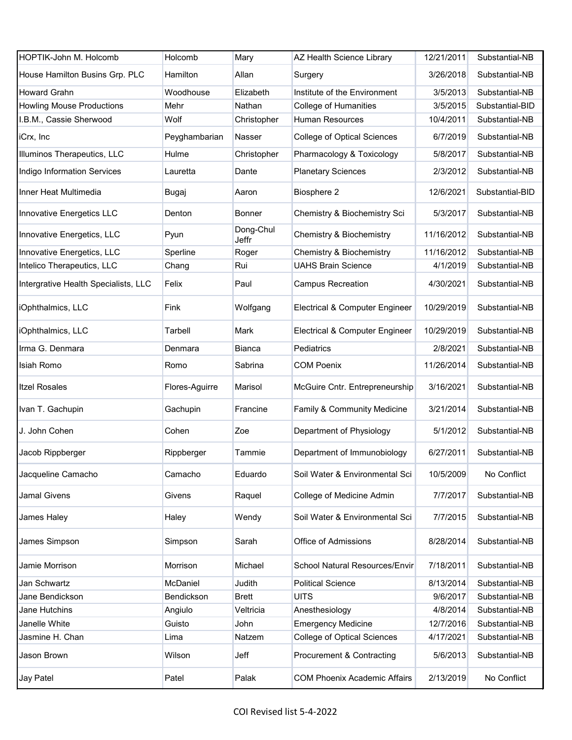| HOPTIK-John M. Holcomb               | Holcomb        | Mary               | AZ Health Science Library           | 12/21/2011 | Substantial-NB  |
|--------------------------------------|----------------|--------------------|-------------------------------------|------------|-----------------|
| House Hamilton Busins Grp. PLC       | Hamilton       | Allan              | Surgery                             | 3/26/2018  | Substantial-NB  |
| <b>Howard Grahn</b>                  | Woodhouse      | Elizabeth          | Institute of the Environment        | 3/5/2013   | Substantial-NB  |
| <b>Howling Mouse Productions</b>     | Mehr           | Nathan             | <b>College of Humanities</b>        | 3/5/2015   | Substantial-BID |
| I.B.M., Cassie Sherwood              | Wolf           | Christopher        | <b>Human Resources</b>              | 10/4/2011  | Substantial-NB  |
| iCrx, Inc                            | Peyghambarian  | Nasser             | College of Optical Sciences         | 6/7/2019   | Substantial-NB  |
| Illuminos Therapeutics, LLC          | Hulme          | Christopher        | Pharmacology & Toxicology           | 5/8/2017   | Substantial-NB  |
| Indigo Information Services          | Lauretta       | Dante              | <b>Planetary Sciences</b>           | 2/3/2012   | Substantial-NB  |
| Inner Heat Multimedia                | Bugaj          | Aaron              | Biosphere 2                         | 12/6/2021  | Substantial-BID |
| Innovative Energetics LLC            | Denton         | Bonner             | Chemistry & Biochemistry Sci        | 5/3/2017   | Substantial-NB  |
| Innovative Energetics, LLC           | Pyun           | Dong-Chul<br>Jeffr | Chemistry & Biochemistry            | 11/16/2012 | Substantial-NB  |
| Innovative Energetics, LLC           | Sperline       | Roger              | Chemistry & Biochemistry            | 11/16/2012 | Substantial-NB  |
| Intelico Therapeutics, LLC           | Chang          | Rui                | <b>UAHS Brain Science</b>           | 4/1/2019   | Substantial-NB  |
| Intergrative Health Specialists, LLC | Felix          | Paul               | <b>Campus Recreation</b>            | 4/30/2021  | Substantial-NB  |
| iOphthalmics, LLC                    | Fink           | Wolfgang           | Electrical & Computer Engineer      | 10/29/2019 | Substantial-NB  |
| iOphthalmics, LLC                    | Tarbell        | Mark               | Electrical & Computer Engineer      | 10/29/2019 | Substantial-NB  |
| Irma G. Denmara                      | Denmara        | Bianca             | Pediatrics                          | 2/8/2021   | Substantial-NB  |
| Isiah Romo                           | Romo           | Sabrina            | <b>COM Poenix</b>                   | 11/26/2014 | Substantial-NB  |
| <b>Itzel Rosales</b>                 | Flores-Aguirre | Marisol            | McGuire Cntr. Entrepreneurship      | 3/16/2021  | Substantial-NB  |
| Ivan T. Gachupin                     | Gachupin       | Francine           | Family & Community Medicine         | 3/21/2014  | Substantial-NB  |
| J. John Cohen                        | Cohen          | Zoe                | Department of Physiology            | 5/1/2012   | Substantial-NB  |
| Jacob Rippberger                     | Rippberger     | Tammie             | Department of Immunobiology         | 6/27/2011  | Substantial-NB  |
| Jacqueline Camacho                   | Camacho        | Eduardo            | Soil Water & Environmental Sci      | 10/5/2009  | No Conflict     |
| <b>Jamal Givens</b>                  | Givens         | Raquel             | College of Medicine Admin           | 7/7/2017   | Substantial-NB  |
| James Haley                          | Haley          | Wendy              | Soil Water & Environmental Sci      | 7/7/2015   | Substantial-NB  |
| James Simpson                        | Simpson        | Sarah              | Office of Admissions                | 8/28/2014  | Substantial-NB  |
| Jamie Morrison                       | Morrison       | Michael            | School Natural Resources/Envir      | 7/18/2011  | Substantial-NB  |
| Jan Schwartz                         | McDaniel       | Judith             | <b>Political Science</b>            | 8/13/2014  | Substantial-NB  |
| Jane Bendickson                      | Bendickson     | <b>Brett</b>       | <b>UITS</b>                         | 9/6/2017   | Substantial-NB  |
| Jane Hutchins                        | Angiulo        | Veltricia          | Anesthesiology                      | 4/8/2014   | Substantial-NB  |
| Janelle White                        | Guisto         | John               | <b>Emergency Medicine</b>           | 12/7/2016  | Substantial-NB  |
| Jasmine H. Chan                      | Lima           | Natzem             | College of Optical Sciences         | 4/17/2021  | Substantial-NB  |
| Jason Brown                          | Wilson         | Jeff               | Procurement & Contracting           | 5/6/2013   | Substantial-NB  |
| Jay Patel                            | Patel          | Palak              | <b>COM Phoenix Academic Affairs</b> | 2/13/2019  | No Conflict     |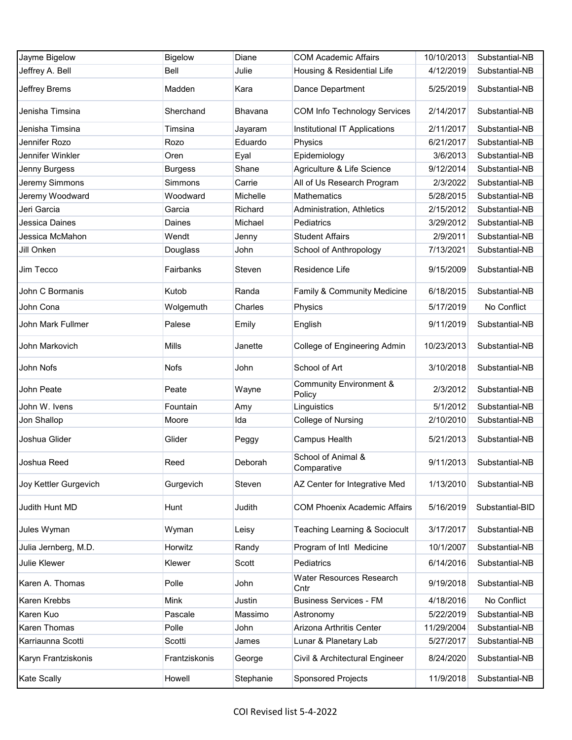| Jayme Bigelow         | <b>Bigelow</b> | Diane     | <b>COM Academic Affairs</b>                  | 10/10/2013 | Substantial-NB  |
|-----------------------|----------------|-----------|----------------------------------------------|------------|-----------------|
| Jeffrey A. Bell       | Bell           | Julie     | Housing & Residential Life                   | 4/12/2019  | Substantial-NB  |
| Jeffrey Brems         | Madden         | Kara      | Dance Department                             | 5/25/2019  | Substantial-NB  |
| Jenisha Timsina       | Sherchand      | Bhavana   | COM Info Technology Services                 | 2/14/2017  | Substantial-NB  |
| Jenisha Timsina       | Timsina        | Jayaram   | Institutional IT Applications                | 2/11/2017  | Substantial-NB  |
| Jennifer Rozo         | Rozo           | Eduardo   | Physics                                      | 6/21/2017  | Substantial-NB  |
| Jennifer Winkler      | Oren           | Eyal      | Epidemiology                                 | 3/6/2013   | Substantial-NB  |
| Jenny Burgess         | <b>Burgess</b> | Shane     | Agriculture & Life Science                   | 9/12/2014  | Substantial-NB  |
| Jeremy Simmons        | Simmons        | Carrie    | All of Us Research Program                   | 2/3/2022   | Substantial-NB  |
| Jeremy Woodward       | Woodward       | Michelle  | <b>Mathematics</b>                           | 5/28/2015  | Substantial-NB  |
| Jeri Garcia           | Garcia         | Richard   | Administration, Athletics                    | 2/15/2012  | Substantial-NB  |
| Jessica Daines        | Daines         | Michael   | Pediatrics                                   | 3/29/2012  | Substantial-NB  |
| Jessica McMahon       | Wendt          | Jenny     | <b>Student Affairs</b>                       | 2/9/2011   | Substantial-NB  |
| Jill Onken            | Douglass       | John      | School of Anthropology                       | 7/13/2021  | Substantial-NB  |
| Jim Tecco             | Fairbanks      | Steven    | Residence Life                               | 9/15/2009  | Substantial-NB  |
| John C Bormanis       | Kutob          | Randa     | Family & Community Medicine                  | 6/18/2015  | Substantial-NB  |
| John Cona             | Wolgemuth      | Charles   | Physics                                      | 5/17/2019  | No Conflict     |
| John Mark Fullmer     | Palese         | Emily     | English                                      | 9/11/2019  | Substantial-NB  |
| John Markovich        | <b>Mills</b>   | Janette   | College of Engineering Admin                 | 10/23/2013 | Substantial-NB  |
| John Nofs             | <b>Nofs</b>    | John      | School of Art                                | 3/10/2018  | Substantial-NB  |
| John Peate            | Peate          | Wayne     | <b>Community Environment &amp;</b><br>Policy | 2/3/2012   | Substantial-NB  |
| John W. Ivens         | Fountain       | Amy       | Linguistics                                  | 5/1/2012   | Substantial-NB  |
| Jon Shallop           | Moore          | Ida       | College of Nursing                           | 2/10/2010  | Substantial-NB  |
| Joshua Glider         | Glider         | Peggy     | Campus Health                                | 5/21/2013  | Substantial-NB  |
| Joshua Reed           | Reed           | Deborah   | School of Animal &<br>Comparative            | 9/11/2013  | Substantial-NB  |
| Joy Kettler Gurgevich | Gurgevich      | Steven    | AZ Center for Integrative Med                | 1/13/2010  | Substantial-NB  |
| Judith Hunt MD        | Hunt           | Judith    | <b>COM Phoenix Academic Affairs</b>          | 5/16/2019  | Substantial-BID |
| Jules Wyman           | Wyman          | Leisy     | Teaching Learning & Sociocult                | 3/17/2017  | Substantial-NB  |
| Julia Jernberg, M.D.  | Horwitz        | Randy     | Program of Intl Medicine                     | 10/1/2007  | Substantial-NB  |
| Julie Klewer          | Klewer         | Scott     | Pediatrics                                   | 6/14/2016  | Substantial-NB  |
| Karen A. Thomas       | Polle          | John      | Water Resources Research<br>Cntr             | 9/19/2018  | Substantial-NB  |
| Karen Krebbs          | Mink           | Justin    | <b>Business Services - FM</b>                | 4/18/2016  | No Conflict     |
| Karen Kuo             | Pascale        | Massimo   | Astronomy                                    | 5/22/2019  | Substantial-NB  |
| Karen Thomas          | Polle          | John      | Arizona Arthritis Center                     | 11/29/2004 | Substantial-NB  |
| Karriaunna Scotti     | Scotti         | James     | Lunar & Planetary Lab                        | 5/27/2017  | Substantial-NB  |
| Karyn Frantziskonis   | Frantziskonis  | George    | Civil & Architectural Engineer               | 8/24/2020  | Substantial-NB  |
| Kate Scally           | Howell         | Stephanie | <b>Sponsored Projects</b>                    | 11/9/2018  | Substantial-NB  |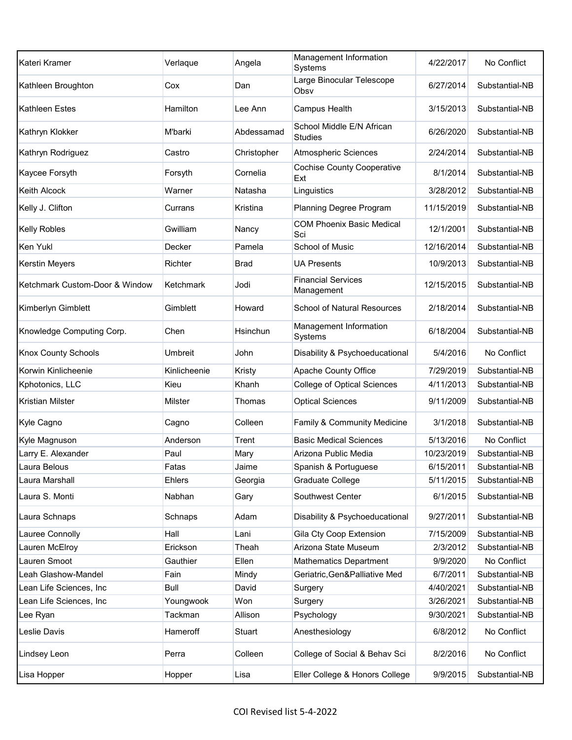| Kateri Kramer                  | Verlaque       | Angela      | Management Information<br>Systems           | 4/22/2017  | No Conflict    |
|--------------------------------|----------------|-------------|---------------------------------------------|------------|----------------|
| Kathleen Broughton             | Cox            | Dan         | Large Binocular Telescope<br>Obsv           | 6/27/2014  | Substantial-NB |
| <b>Kathleen Estes</b>          | Hamilton       | Lee Ann     | Campus Health                               | 3/15/2013  | Substantial-NB |
| Kathryn Klokker                | M'barki        | Abdessamad  | School Middle E/N African<br><b>Studies</b> | 6/26/2020  | Substantial-NB |
| Kathryn Rodriguez              | Castro         | Christopher | <b>Atmospheric Sciences</b>                 | 2/24/2014  | Substantial-NB |
| Kaycee Forsyth                 | Forsyth        | Cornelia    | <b>Cochise County Cooperative</b><br>Ext    | 8/1/2014   | Substantial-NB |
| <b>Keith Alcock</b>            | Warner         | Natasha     | Linguistics                                 | 3/28/2012  | Substantial-NB |
| Kelly J. Clifton               | Currans        | Kristina    | Planning Degree Program                     | 11/15/2019 | Substantial-NB |
| <b>Kelly Robles</b>            | Gwilliam       | Nancy       | <b>COM Phoenix Basic Medical</b><br>Sci     | 12/1/2001  | Substantial-NB |
| Ken Yukl                       | Decker         | Pamela      | <b>School of Music</b>                      | 12/16/2014 | Substantial-NB |
| Kerstin Meyers                 | Richter        | Brad        | UA Presents                                 | 10/9/2013  | Substantial-NB |
| Ketchmark Custom-Door & Window | Ketchmark      | Jodi        | <b>Financial Services</b><br>Management     | 12/15/2015 | Substantial-NB |
| Kimberlyn Gimblett             | Gimblett       | Howard      | <b>School of Natural Resources</b>          | 2/18/2014  | Substantial-NB |
| Knowledge Computing Corp.      | Chen           | Hsinchun    | Management Information<br>Systems           | 6/18/2004  | Substantial-NB |
| <b>Knox County Schools</b>     | <b>Umbreit</b> | John        | Disability & Psychoeducational              | 5/4/2016   | No Conflict    |
| Korwin Kinlicheenie            | Kinlicheenie   | Kristy      | Apache County Office                        | 7/29/2019  | Substantial-NB |
| Kphotonics, LLC                | Kieu           | Khanh       | <b>College of Optical Sciences</b>          | 4/11/2013  | Substantial-NB |
| <b>Kristian Milster</b>        | Milster        | Thomas      | <b>Optical Sciences</b>                     | 9/11/2009  | Substantial-NB |
| Kyle Cagno                     | Cagno          | Colleen     | Family & Community Medicine                 | 3/1/2018   | Substantial-NB |
| Kyle Magnuson                  | Anderson       | Trent       | <b>Basic Medical Sciences</b>               | 5/13/2016  | No Conflict    |
| Larry E. Alexander             | Paul           | Mary        | Arizona Public Media                        | 10/23/2019 | Substantial-NB |
| Laura Belous                   | Fatas          | Jaime       | Spanish & Portuguese                        | 6/15/2011  | Substantial-NB |
| Laura Marshall                 | Ehlers         | Georgia     | Graduate College                            | 5/11/2015  | Substantial-NB |
| Laura S. Monti                 | Nabhan         | Gary        | Southwest Center                            | 6/1/2015   | Substantial-NB |
| Laura Schnaps                  | Schnaps        | Adam        | Disability & Psychoeducational              | 9/27/2011  | Substantial-NB |
| Lauree Connolly                | Hall           | Lani        | Gila Cty Coop Extension                     | 7/15/2009  | Substantial-NB |
| Lauren McElroy                 | Erickson       | Theah       | Arizona State Museum                        | 2/3/2012   | Substantial-NB |
| Lauren Smoot                   | Gauthier       | Ellen       | Mathematics Department                      | 9/9/2020   | No Conflict    |
| Leah Glashow-Mandel            | Fain           | Mindy       | Geriatric, Gen&Palliative Med               | 6/7/2011   | Substantial-NB |
| Lean Life Sciences, Inc        | Bull           | David       | Surgery                                     | 4/40/2021  | Substantial-NB |
| Lean Life Sciences, Inc        | Youngwook      | Won         | Surgery                                     | 3/26/2021  | Substantial-NB |
| Lee Ryan                       | Tackman        | Allison     | Psychology                                  | 9/30/2021  | Substantial-NB |
| Leslie Davis                   | Hameroff       | Stuart      | Anesthesiology                              | 6/8/2012   | No Conflict    |
| Lindsey Leon                   |                |             |                                             |            |                |
|                                | Perra          | Colleen     | College of Social & Behav Sci               | 8/2/2016   | No Conflict    |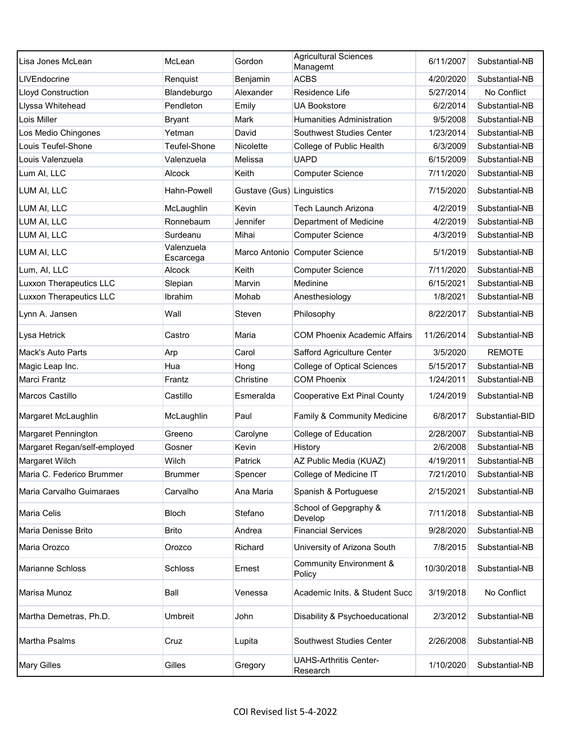| Lisa Jones McLean              | McLean                  | Gordon                    | <b>Agricultural Sciences</b><br>Managemt     | 6/11/2007  | Substantial-NB  |
|--------------------------------|-------------------------|---------------------------|----------------------------------------------|------------|-----------------|
| LIVEndocrine                   | Renquist                | Benjamin                  | <b>ACBS</b>                                  | 4/20/2020  | Substantial-NB  |
| <b>Lloyd Construction</b>      | Blandeburgo             | Alexander                 | Residence Life                               | 5/27/2014  | No Conflict     |
| Llyssa Whitehead               | Pendleton               | Emily                     | <b>UA Bookstore</b>                          | 6/2/2014   | Substantial-NB  |
| Lois Miller                    | <b>Bryant</b>           | <b>Mark</b>               | <b>Humanities Administration</b>             | 9/5/2008   | Substantial-NB  |
| Los Medio Chingones            | Yetman                  | David                     | Southwest Studies Center                     | 1/23/2014  | Substantial-NB  |
| Louis Teufel-Shone             | Teufel-Shone            | Nicolette                 | College of Public Health                     | 6/3/2009   | Substantial-NB  |
| Louis Valenzuela               | Valenzuela              | Melissa                   | <b>UAPD</b>                                  | 6/15/2009  | Substantial-NB  |
| Lum AI, LLC                    | <b>Alcock</b>           | Keith                     | <b>Computer Science</b>                      | 7/11/2020  | Substantial-NB  |
| LUM AI, LLC                    | Hahn-Powell             | Gustave (Gus) Linguistics |                                              | 7/15/2020  | Substantial-NB  |
| LUM AI, LLC                    | McLaughlin              | Kevin                     | <b>Tech Launch Arizona</b>                   | 4/2/2019   | Substantial-NB  |
| LUM AI, LLC                    | Ronnebaum               | Jennifer                  | Department of Medicine                       | 4/2/2019   | Substantial-NB  |
| LUM AI, LLC                    | Surdeanu                | Mihai                     | <b>Computer Science</b>                      | 4/3/2019   | Substantial-NB  |
| LUM AI, LLC                    | Valenzuela<br>Escarcega |                           | Marco Antonio Computer Science               | 5/1/2019   | Substantial-NB  |
| Lum, AI, LLC                   | Alcock                  | Keith                     | <b>Computer Science</b>                      | 7/11/2020  | Substantial-NB  |
| <b>Luxxon Therapeutics LLC</b> | Slepian                 | Marvin                    | Medinine                                     | 6/15/2021  | Substantial-NB  |
| <b>Luxxon Therapeutics LLC</b> | <b>Ibrahim</b>          | Mohab                     | Anesthesiology                               | 1/8/2021   | Substantial-NB  |
| Lynn A. Jansen                 | Wall                    | Steven                    | Philosophy                                   | 8/22/2017  | Substantial-NB  |
| Lysa Hetrick                   | Castro                  | Maria                     | <b>COM Phoenix Academic Affairs</b>          | 11/26/2014 | Substantial-NB  |
| <b>Mack's Auto Parts</b>       | Arp                     | Carol                     | Safford Agriculture Center                   | 3/5/2020   | <b>REMOTE</b>   |
| Magic Leap Inc.                | Hua                     | Hong                      | <b>College of Optical Sciences</b>           | 5/15/2017  | Substantial-NB  |
| <b>Marci Frantz</b>            | Frantz                  | Christine                 | <b>COM Phoenix</b>                           | 1/24/2011  | Substantial-NB  |
| Marcos Castillo                | Castillo                | Esmeralda                 | <b>Cooperative Ext Pinal County</b>          | 1/24/2019  | Substantial-NB  |
| Margaret McLaughlin            | McLaughlin              | Paul                      | Family & Community Medicine                  | 6/8/2017   | Substantial-BID |
| Margaret Pennington            | Greeno                  | Carolyne                  | College of Education                         | 2/28/2007  | Substantial-NB  |
| Margaret Regan/self-employed   | Gosner                  | Kevin                     | History                                      | 2/6/2008   | Substantial-NB  |
| Margaret Wilch                 | Wilch                   | <b>Patrick</b>            | AZ Public Media (KUAZ)                       | 4/19/2011  | Substantial-NB  |
| Maria C. Federico Brummer      | <b>Brummer</b>          | Spencer                   | College of Medicine IT                       | 7/21/2010  | Substantial-NB  |
| Maria Carvalho Guimaraes       | Carvalho                | Ana Maria                 | Spanish & Portuguese                         | 2/15/2021  | Substantial-NB  |
| Maria Celis                    | <b>Bloch</b>            | Stefano                   | School of Gepgraphy &<br>Develop             | 7/11/2018  | Substantial-NB  |
| Maria Denisse Brito            | Brito                   | Andrea                    | <b>Financial Services</b>                    | 9/28/2020  | Substantial-NB  |
| Maria Orozco                   | Orozco                  | Richard                   | University of Arizona South                  | 7/8/2015   | Substantial-NB  |
| Marianne Schloss               | <b>Schloss</b>          | Ernest                    | <b>Community Environment &amp;</b><br>Policy | 10/30/2018 | Substantial-NB  |
| Marisa Munoz                   | Ball                    | Venessa                   | Academic Inits. & Student Succ               | 3/19/2018  | No Conflict     |
| Martha Demetras, Ph.D.         | Umbreit                 | John                      | Disability & Psychoeducational               | 2/3/2012   | Substantial-NB  |
| Martha Psalms                  | Cruz                    | Lupita                    | Southwest Studies Center                     | 2/26/2008  | Substantial-NB  |
| <b>Mary Gilles</b>             | Gilles                  | Gregory                   | <b>UAHS-Arthritis Center-</b><br>Research    | 1/10/2020  | Substantial-NB  |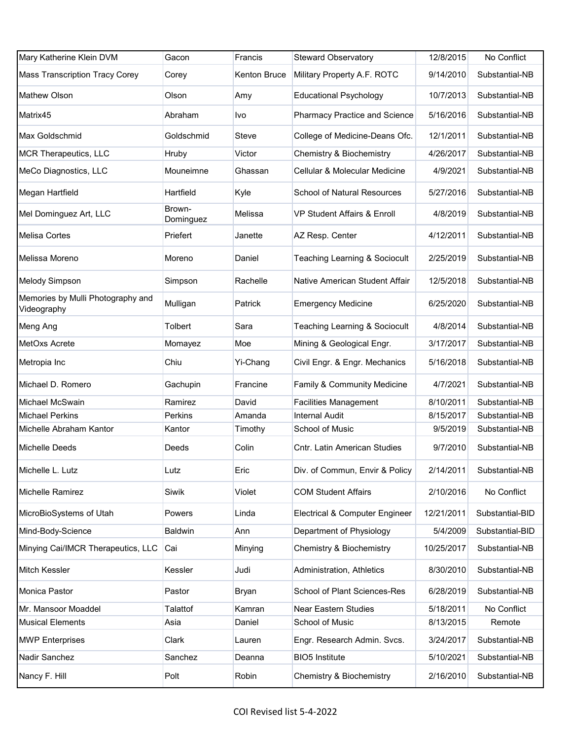| Mary Katherine Klein DVM                         | Gacon               | Francis      | <b>Steward Observatory</b>           | 12/8/2015  | No Conflict     |
|--------------------------------------------------|---------------------|--------------|--------------------------------------|------------|-----------------|
| <b>Mass Transcription Tracy Corey</b>            | Corey               | Kenton Bruce | Military Property A.F. ROTC          | 9/14/2010  | Substantial-NB  |
| Mathew Olson                                     | Olson               | Amy          | <b>Educational Psychology</b>        | 10/7/2013  | Substantial-NB  |
| Matrix45                                         | Abraham             | Ivo          | <b>Pharmacy Practice and Science</b> | 5/16/2016  | Substantial-NB  |
| Max Goldschmid                                   | Goldschmid          | Steve        | College of Medicine-Deans Ofc.       | 12/1/2011  | Substantial-NB  |
| MCR Therapeutics, LLC                            | Hruby               | Victor       | <b>Chemistry &amp; Biochemistry</b>  | 4/26/2017  | Substantial-NB  |
| MeCo Diagnostics, LLC                            | Mouneimne           | Ghassan      | Cellular & Molecular Medicine        | 4/9/2021   | Substantial-NB  |
| Megan Hartfield                                  | Hartfield           | Kyle         | School of Natural Resources          | 5/27/2016  | Substantial-NB  |
| Mel Dominguez Art, LLC                           | Brown-<br>Dominguez | Melissa      | VP Student Affairs & Enroll          | 4/8/2019   | Substantial-NB  |
| <b>Melisa Cortes</b>                             | Priefert            | Janette      | AZ Resp. Center                      | 4/12/2011  | Substantial-NB  |
| Melissa Moreno                                   | Moreno              | Daniel       | Teaching Learning & Sociocult        | 2/25/2019  | Substantial-NB  |
| Melody Simpson                                   | Simpson             | Rachelle     | Native American Student Affair       | 12/5/2018  | Substantial-NB  |
| Memories by Mulli Photography and<br>Videography | Mulligan            | Patrick      | <b>Emergency Medicine</b>            | 6/25/2020  | Substantial-NB  |
| Meng Ang                                         | Tolbert             | Sara         | Teaching Learning & Sociocult        | 4/8/2014   | Substantial-NB  |
| MetOxs Acrete                                    | Momayez             | Moe          | Mining & Geological Engr.            | 3/17/2017  | Substantial-NB  |
| Metropia Inc                                     | Chiu                | Yi-Chang     | Civil Engr. & Engr. Mechanics        | 5/16/2018  | Substantial-NB  |
| Michael D. Romero                                | Gachupin            | Francine     | Family & Community Medicine          | 4/7/2021   | Substantial-NB  |
| Michael McSwain                                  | Ramirez             | David        | <b>Facilities Management</b>         | 8/10/2011  | Substantial-NB  |
| <b>Michael Perkins</b>                           | Perkins             | Amanda       | <b>Internal Audit</b>                | 8/15/2017  | Substantial-NB  |
| Michelle Abraham Kantor                          | Kantor              | Timothy      | School of Music                      | 9/5/2019   | Substantial-NB  |
| <b>Michelle Deeds</b>                            | Deeds               | Colin        | Cntr. Latin American Studies         | 9/7/2010   | Substantial-NB  |
| Michelle L. Lutz                                 | Lutz                | Eric         | Div. of Commun, Envir & Policy       | 2/14/2011  | Substantial-NB  |
| Michelle Ramirez                                 | Siwik               | Violet       | <b>COM Student Affairs</b>           | 2/10/2016  | No Conflict     |
| MicroBioSystems of Utah                          | Powers              | Linda        | Electrical & Computer Engineer       | 12/21/2011 | Substantial-BID |
| Mind-Body-Science                                | <b>Baldwin</b>      | Ann          | Department of Physiology             | 5/4/2009   | Substantial-BID |
| Minying Cai/IMCR Therapeutics, LLC               | Cai                 | Minying      | Chemistry & Biochemistry             | 10/25/2017 | Substantial-NB  |
| Mitch Kessler                                    | Kessler             | Judi         | Administration, Athletics            | 8/30/2010  | Substantial-NB  |
| Monica Pastor                                    | Pastor              | Bryan        | School of Plant Sciences-Res         | 6/28/2019  | Substantial-NB  |
| Mr. Mansoor Moaddel                              | Talattof            | Kamran       | <b>Near Eastern Studies</b>          | 5/18/2011  | No Conflict     |
| <b>Musical Elements</b>                          | Asia                | Daniel       | School of Music                      | 8/13/2015  | Remote          |
| <b>MWP Enterprises</b>                           | Clark               | Lauren       | Engr. Research Admin. Svcs.          | 3/24/2017  | Substantial-NB  |
| Nadir Sanchez                                    | Sanchez             | Deanna       | <b>BIO5 Institute</b>                | 5/10/2021  | Substantial-NB  |
| Nancy F. Hill                                    | Polt                | Robin        | <b>Chemistry &amp; Biochemistry</b>  | 2/16/2010  | Substantial-NB  |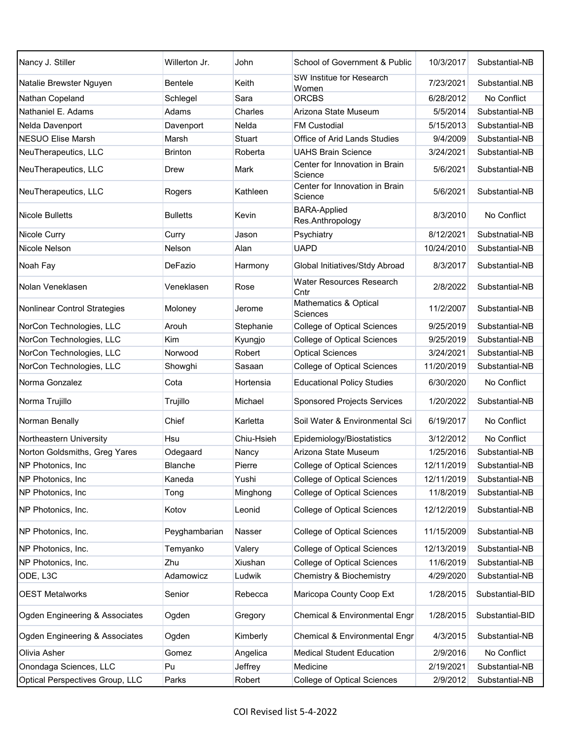| Nancy J. Stiller                    | Willerton Jr.   | John       | School of Government & Public             | 10/3/2017  | Substantial-NB  |
|-------------------------------------|-----------------|------------|-------------------------------------------|------------|-----------------|
| Natalie Brewster Nguyen             | <b>Bentele</b>  | Keith      | SW Institue for Research<br>Women         | 7/23/2021  | Substantial.NB  |
| Nathan Copeland                     | Schlegel        | Sara       | <b>ORCBS</b>                              | 6/28/2012  | No Conflict     |
| Nathaniel E. Adams                  | Adams           | Charles    | Arizona State Museum                      | 5/5/2014   | Substantial-NB  |
| Nelda Davenport                     | Davenport       | Nelda      | <b>FM Custodial</b>                       | 5/15/2013  | Substantial-NB  |
| <b>NESUO Elise Marsh</b>            | Marsh           | Stuart     | Office of Arid Lands Studies              | 9/4/2009   | Substantial-NB  |
| NeuTherapeutics, LLC                | Brinton         | Roberta    | <b>UAHS Brain Science</b>                 | 3/24/2021  | Substantial-NB  |
| NeuTherapeutics, LLC                | Drew            | Mark       | Center for Innovation in Brain<br>Science | 5/6/2021   | Substantial-NB  |
| NeuTherapeutics, LLC                | Rogers          | Kathleen   | Center for Innovation in Brain<br>Science | 5/6/2021   | Substantial-NB  |
| <b>Nicole Bulletts</b>              | <b>Bulletts</b> | Kevin      | <b>BARA-Applied</b><br>Res.Anthropology   | 8/3/2010   | No Conflict     |
| Nicole Curry                        | Curry           | Jason      | Psychiatry                                | 8/12/2021  | Substnatial-NB  |
| Nicole Nelson                       | Nelson          | Alan       | <b>UAPD</b>                               | 10/24/2010 | Substantial-NB  |
| Noah Fay                            | DeFazio         | Harmony    | Global Initiatives/Stdy Abroad            | 8/3/2017   | Substantial-NB  |
| Nolan Veneklasen                    | Veneklasen      | Rose       | Water Resources Research<br>Cntr          | 2/8/2022   | Substantial-NB  |
| <b>Nonlinear Control Strategies</b> | Moloney         | Jerome     | Mathematics & Optical<br>Sciences         | 11/2/2007  | Substantial-NB  |
| NorCon Technologies, LLC            | Arouh           | Stephanie  | <b>College of Optical Sciences</b>        | 9/25/2019  | Substantial-NB  |
| NorCon Technologies, LLC            | Kim             | Kyungjo    | <b>College of Optical Sciences</b>        | 9/25/2019  | Substantial-NB  |
| NorCon Technologies, LLC            | Norwood         | Robert     | <b>Optical Sciences</b>                   | 3/24/2021  | Substantial-NB  |
| NorCon Technologies, LLC            | Showghi         | Sasaan     | <b>College of Optical Sciences</b>        | 11/20/2019 | Substantial-NB  |
| Norma Gonzalez                      | Cota            | Hortensia  | <b>Educational Policy Studies</b>         | 6/30/2020  | No Conflict     |
| Norma Trujillo                      | Trujillo        | Michael    | <b>Sponsored Projects Services</b>        | 1/20/2022  | Substantial-NB  |
| Norman Benally                      | Chief           | Karletta   | Soil Water & Environmental Sci            | 6/19/2017  | No Conflict     |
| Northeastern University             | Hsu             | Chiu-Hsieh | Epidemiology/Biostatistics                | 3/12/2012  | No Conflict     |
| Norton Goldsmiths, Greg Yares       | Odegaard        | Nancy      | Arizona State Museum                      | 1/25/2016  | Substantial-NB  |
| NP Photonics, Inc.                  | Blanche         | Pierre     | <b>College of Optical Sciences</b>        | 12/11/2019 | Substantial-NB  |
| NP Photonics, Inc.                  | Kaneda          | Yushi      | <b>College of Optical Sciences</b>        | 12/11/2019 | Substantial-NB  |
| NP Photonics, Inc.                  | Tong            | Minghong   | College of Optical Sciences               | 11/8/2019  | Substantial-NB  |
| NP Photonics, Inc.                  | Kotov           | Leonid     | <b>College of Optical Sciences</b>        | 12/12/2019 | Substantial-NB  |
| NP Photonics, Inc.                  | Peyghambarian   | Nasser     | <b>College of Optical Sciences</b>        | 11/15/2009 | Substantial-NB  |
| NP Photonics, Inc.                  | Temyanko        | Valery     | <b>College of Optical Sciences</b>        | 12/13/2019 | Substantial-NB  |
| NP Photonics, Inc.                  | Zhu             | Xiushan    | <b>College of Optical Sciences</b>        | 11/6/2019  | Substantial-NB  |
| ODE, L3C                            | Adamowicz       | Ludwik     | Chemistry & Biochemistry                  | 4/29/2020  | Substantial-NB  |
| <b>OEST Metalworks</b>              | Senior          | Rebecca    | Maricopa County Coop Ext                  | 1/28/2015  | Substantial-BID |
| Ogden Engineering & Associates      | Ogden           | Gregory    | Chemical & Environmental Engr             | 1/28/2015  | Substantial-BID |
| Ogden Engineering & Associates      | Ogden           | Kimberly   | Chemical & Environmental Engr             | 4/3/2015   | Substantial-NB  |
| Olivia Asher                        | Gomez           | Angelica   | <b>Medical Student Education</b>          | 2/9/2016   | No Conflict     |
| Onondaga Sciences, LLC              | Pu              | Jeffrey    | Medicine                                  | 2/19/2021  | Substantial-NB  |
| Optical Perspectives Group, LLC     | Parks           | Robert     | <b>College of Optical Sciences</b>        | 2/9/2012   | Substantial-NB  |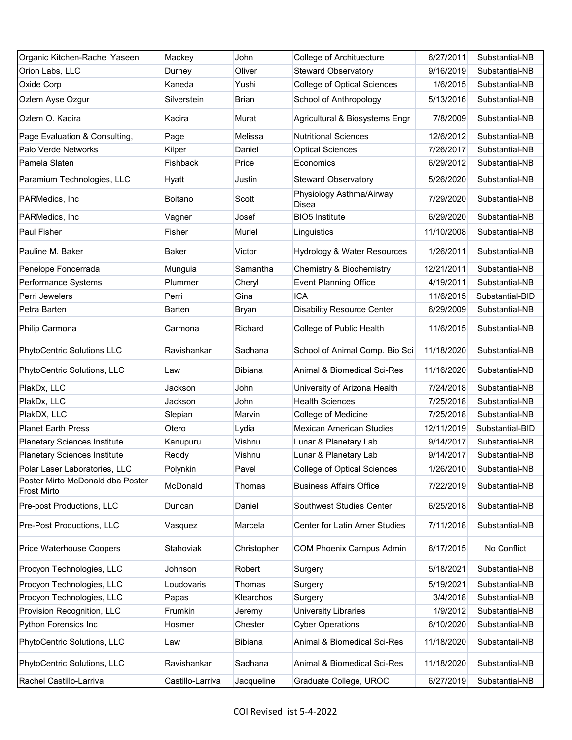| Organic Kitchen-Rachel Yaseen                          | Mackey           | John           | College of Archituecture           | 6/27/2011  | Substantial-NB  |
|--------------------------------------------------------|------------------|----------------|------------------------------------|------------|-----------------|
| Orion Labs, LLC                                        | Durney           | Oliver         | <b>Steward Observatory</b>         | 9/16/2019  | Substantial-NB  |
| Oxide Corp                                             | Kaneda           | Yushi          | <b>College of Optical Sciences</b> | 1/6/2015   | Substantial-NB  |
| Ozlem Ayse Ozgur                                       | Silverstein      | <b>Brian</b>   | School of Anthropology             | 5/13/2016  | Substantial-NB  |
| Ozlem O. Kacira                                        | Kacira           | Murat          | Agricultural & Biosystems Engr     | 7/8/2009   | Substantial-NB  |
| Page Evaluation & Consulting,                          | Page             | Melissa        | <b>Nutritional Sciences</b>        | 12/6/2012  | Substantial-NB  |
| Palo Verde Networks                                    | Kilper           | Daniel         | <b>Optical Sciences</b>            | 7/26/2017  | Substantial-NB  |
| Pamela Slaten                                          | Fishback         | Price          | Economics                          | 6/29/2012  | Substantial-NB  |
| Paramium Technologies, LLC                             | Hyatt            | Justin         | <b>Steward Observatory</b>         | 5/26/2020  | Substantial-NB  |
| PARMedics, Inc.                                        | Boitano          | Scott          | Physiology Asthma/Airway<br>Disea  | 7/29/2020  | Substantial-NB  |
| PARMedics, Inc.                                        | Vagner           | Josef          | <b>BIO5</b> Institute              | 6/29/2020  | Substantial-NB  |
| <b>Paul Fisher</b>                                     | Fisher           | Muriel         | Linguistics                        | 11/10/2008 | Substantial-NB  |
| Pauline M. Baker                                       | <b>Baker</b>     | Victor         | Hydrology & Water Resources        | 1/26/2011  | Substantial-NB  |
| Penelope Foncerrada                                    | Munguia          | Samantha       | Chemistry & Biochemistry           | 12/21/2011 | Substantial-NB  |
| Performance Systems                                    | Plummer          | Cheryl         | <b>Event Planning Office</b>       | 4/19/2011  | Substantial-NB  |
| Perri Jewelers                                         | Perri            | Gina           | <b>ICA</b>                         | 11/6/2015  | Substantial-BID |
| Petra Barten                                           | Barten           | Bryan          | <b>Disability Resource Center</b>  | 6/29/2009  | Substantial-NB  |
| Philip Carmona                                         | Carmona          | Richard        | College of Public Health           | 11/6/2015  | Substantial-NB  |
| PhytoCentric Solutions LLC                             | Ravishankar      | Sadhana        | School of Animal Comp. Bio Sci     | 11/18/2020 | Substantial-NB  |
| PhytoCentric Solutions, LLC                            | Law              | <b>Bibiana</b> | Animal & Biomedical Sci-Res        | 11/16/2020 | Substantial-NB  |
| PlakDx, LLC                                            | Jackson          | John           | University of Arizona Health       | 7/24/2018  | Substantial-NB  |
| PlakDx, LLC                                            | Jackson          | John           | <b>Health Sciences</b>             | 7/25/2018  | Substantial-NB  |
| PlakDX, LLC                                            | Slepian          | Marvin         | College of Medicine                | 7/25/2018  | Substantial-NB  |
| <b>Planet Earth Press</b>                              | Otero            | Lydia          | <b>Mexican American Studies</b>    | 12/11/2019 | Substantial-BID |
| <b>Planetary Sciences Institute</b>                    | Kanupuru         | Vishnu         | Lunar & Planetary Lab              | 9/14/2017  | Substantial-NB  |
| <b>Planetary Sciences Institute</b>                    | Reddy            | Vishnu         | Lunar & Planetary Lab              | 9/14/2017  | Substantial-NB  |
| Polar Laser Laboratories, LLC                          | Polynkin         | Pavel          | <b>College of Optical Sciences</b> | 1/26/2010  | Substantial-NB  |
| Poster Mirto McDonald dba Poster<br><b>Frost Mirto</b> | McDonald         | Thomas         | <b>Business Affairs Office</b>     | 7/22/2019  | Substantial-NB  |
| Pre-post Productions, LLC                              | Duncan           | Daniel         | Southwest Studies Center           | 6/25/2018  | Substantial-NB  |
| Pre-Post Productions, LLC                              | Vasquez          | Marcela        | Center for Latin Amer Studies      | 7/11/2018  | Substantial-NB  |
| Price Waterhouse Coopers                               | Stahoviak        | Christopher    | <b>COM Phoenix Campus Admin</b>    | 6/17/2015  | No Conflict     |
| Procyon Technologies, LLC                              | Johnson          | Robert         | Surgery                            | 5/18/2021  | Substantial-NB  |
| Procyon Technologies, LLC                              | Loudovaris       | Thomas         | Surgery                            | 5/19/2021  | Substantial-NB  |
| Procyon Technologies, LLC                              | Papas            | Klearchos      | Surgery                            | 3/4/2018   | Substantial-NB  |
| Provision Recognition, LLC                             | Frumkin          | Jeremy         | University Libraries               | 1/9/2012   | Substantial-NB  |
| Python Forensics Inc                                   | Hosmer           | Chester        | <b>Cyber Operations</b>            | 6/10/2020  | Substantial-NB  |
| PhytoCentric Solutions, LLC                            | Law              | <b>Bibiana</b> | Animal & Biomedical Sci-Res        | 11/18/2020 | Substantail-NB  |
| PhytoCentric Solutions, LLC                            | Ravishankar      | Sadhana        | Animal & Biomedical Sci-Res        | 11/18/2020 | Substantial-NB  |
| Rachel Castillo-Larriva                                | Castillo-Larriva | Jacqueline     | Graduate College, UROC             | 6/27/2019  | Substantial-NB  |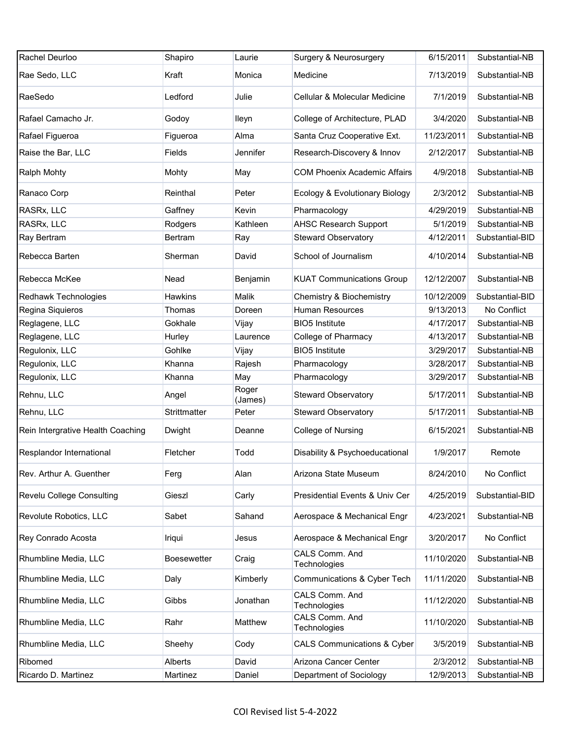| Rachel Deurloo                    | Shapiro            | Laurie           | Surgery & Neurosurgery                 | 6/15/2011  | Substantial-NB  |
|-----------------------------------|--------------------|------------------|----------------------------------------|------------|-----------------|
| Rae Sedo, LLC                     | Kraft              | Monica           | Medicine                               | 7/13/2019  | Substantial-NB  |
| RaeSedo                           | Ledford            | Julie            | Cellular & Molecular Medicine          | 7/1/2019   | Substantial-NB  |
| Rafael Camacho Jr.                | Godoy              | lleyn            | College of Architecture, PLAD          | 3/4/2020   | Substantial-NB  |
| Rafael Figueroa                   | Figueroa           | Alma             | Santa Cruz Cooperative Ext.            | 11/23/2011 | Substantial-NB  |
| Raise the Bar, LLC                | Fields             | Jennifer         | Research-Discovery & Innov             | 2/12/2017  | Substantial-NB  |
| Ralph Mohty                       | Mohty              | May              | <b>COM Phoenix Academic Affairs</b>    | 4/9/2018   | Substantial-NB  |
| Ranaco Corp                       | Reinthal           | Peter            | Ecology & Evolutionary Biology         | 2/3/2012   | Substantial-NB  |
| RASRx, LLC                        | Gaffney            | Kevin            | Pharmacology                           | 4/29/2019  | Substantial-NB  |
| RASRx, LLC                        | Rodgers            | Kathleen         | <b>AHSC Research Support</b>           | 5/1/2019   | Substantial-NB  |
| Ray Bertram                       | Bertram            | Ray              | <b>Steward Observatory</b>             | 4/12/2011  | Substantial-BID |
| Rebecca Barten                    | Sherman            | David            | School of Journalism                   | 4/10/2014  | Substantial-NB  |
| Rebecca McKee                     | Nead               | Benjamin         | <b>KUAT Communications Group</b>       | 12/12/2007 | Substantial-NB  |
| Redhawk Technologies              | Hawkins            | Malik            | Chemistry & Biochemistry               | 10/12/2009 | Substantial-BID |
| Regina Siquieros                  | Thomas             | Doreen           | <b>Human Resources</b>                 | 9/13/2013  | No Conflict     |
| Reglagene, LLC                    | Gokhale            | Vijay            | <b>BIO5</b> Institute                  | 4/17/2017  | Substantial-NB  |
| Reglagene, LLC                    | Hurley             | Laurence         | College of Pharmacy                    | 4/13/2017  | Substantial-NB  |
| Regulonix, LLC                    | Gohlke             | Vijay            | <b>BIO5</b> Institute                  | 3/29/2017  | Substantial-NB  |
| Regulonix, LLC                    | Khanna             | Rajesh           | Pharmacology                           | 3/28/2017  | Substantial-NB  |
| Regulonix, LLC                    | Khanna             | May              | Pharmacology                           | 3/29/2017  | Substantial-NB  |
| Rehnu, LLC                        | Angel              | Roger<br>(James) | <b>Steward Observatory</b>             | 5/17/2011  | Substantial-NB  |
| Rehnu, LLC                        | Strittmatter       | Peter            | <b>Steward Observatory</b>             | 5/17/2011  | Substantial-NB  |
| Rein Intergrative Health Coaching | Dwight             | Deanne           | College of Nursing                     | 6/15/2021  | Substantial-NB  |
| Resplandor International          | Fletcher           | Todd             | Disability & Psychoeducational         | 1/9/2017   | Remote          |
| Rev. Arthur A. Guenther           | Ferg               | Alan             | Arizona State Museum                   | 8/24/2010  | No Conflict     |
| Revelu College Consulting         | Gieszl             | Carly            | Presidential Events & Univ Cer         | 4/25/2019  | Substantial-BID |
| Revolute Robotics, LLC            | Sabet              | Sahand           | Aerospace & Mechanical Engr            | 4/23/2021  | Substantial-NB  |
| Rey Conrado Acosta                | Iriqui             | Jesus            | Aerospace & Mechanical Engr            | 3/20/2017  | No Conflict     |
| Rhumbline Media, LLC              | <b>Boesewetter</b> | Craig            | CALS Comm. And<br>Technologies         | 11/10/2020 | Substantial-NB  |
| Rhumbline Media, LLC              | Daly               | Kimberly         | Communications & Cyber Tech            | 11/11/2020 | Substantial-NB  |
| Rhumbline Media, LLC              | Gibbs              | Jonathan         | CALS Comm. And<br>Technologies         | 11/12/2020 | Substantial-NB  |
| Rhumbline Media, LLC              | Rahr               | Matthew          | CALS Comm. And<br>Technologies         | 11/10/2020 | Substantial-NB  |
| Rhumbline Media, LLC              | Sheehy             | Cody             | <b>CALS Communications &amp; Cyber</b> | 3/5/2019   | Substantial-NB  |
| Ribomed                           | Alberts            | David            | Arizona Cancer Center                  | 2/3/2012   | Substantial-NB  |
| Ricardo D. Martinez               | Martinez           | Daniel           | Department of Sociology                | 12/9/2013  | Substantial-NB  |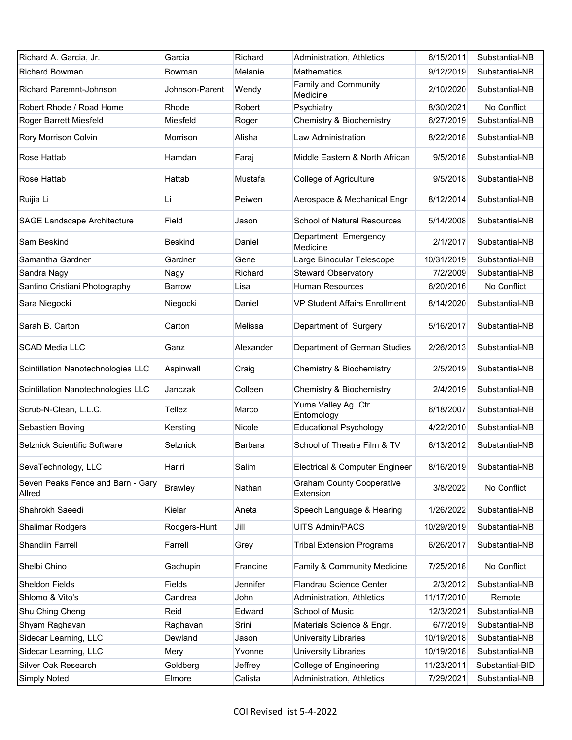| Richard A. Garcia, Jr.                      | Garcia         | Richard   | Administration, Athletics                     | 6/15/2011  | Substantial-NB  |
|---------------------------------------------|----------------|-----------|-----------------------------------------------|------------|-----------------|
| <b>Richard Bowman</b>                       | Bowman         | Melanie   | <b>Mathematics</b>                            | 9/12/2019  | Substantial-NB  |
| Richard Paremnt-Johnson                     | Johnson-Parent | Wendy     | Family and Community<br>Medicine              | 2/10/2020  | Substantial-NB  |
| Robert Rhode / Road Home                    | Rhode          | Robert    | Psychiatry                                    | 8/30/2021  | No Conflict     |
| Roger Barrett Miesfeld                      | Miesfeld       | Roger     | Chemistry & Biochemistry                      | 6/27/2019  | Substantial-NB  |
| Rory Morrison Colvin                        | Morrison       | Alisha    | <b>Law Administration</b>                     | 8/22/2018  | Substantial-NB  |
| Rose Hattab                                 | Hamdan         | Faraj     | Middle Eastern & North African                | 9/5/2018   | Substantial-NB  |
| Rose Hattab                                 | Hattab         | Mustafa   | <b>College of Agriculture</b>                 | 9/5/2018   | Substantial-NB  |
| Ruijia Li                                   | Li             | Peiwen    | Aerospace & Mechanical Engr                   | 8/12/2014  | Substantial-NB  |
| <b>SAGE Landscape Architecture</b>          | Field          | Jason     | <b>School of Natural Resources</b>            | 5/14/2008  | Substantial-NB  |
| Sam Beskind                                 | <b>Beskind</b> | Daniel    | Department Emergency<br>Medicine              | 2/1/2017   | Substantial-NB  |
| Samantha Gardner                            | Gardner        | Gene      | Large Binocular Telescope                     | 10/31/2019 | Substantial-NB  |
| Sandra Nagy                                 | Nagy           | Richard   | <b>Steward Observatory</b>                    | 7/2/2009   | Substantial-NB  |
| Santino Cristiani Photography               | <b>Barrow</b>  | Lisa      | <b>Human Resources</b>                        | 6/20/2016  | No Conflict     |
| Sara Niegocki                               | Niegocki       | Daniel    | <b>VP Student Affairs Enrollment</b>          | 8/14/2020  | Substantial-NB  |
| Sarah B. Carton                             | Carton         | Melissa   | Department of Surgery                         | 5/16/2017  | Substantial-NB  |
| <b>SCAD Media LLC</b>                       | Ganz           | Alexander | Department of German Studies                  | 2/26/2013  | Substantial-NB  |
| Scintillation Nanotechnologies LLC          | Aspinwall      | Craig     | Chemistry & Biochemistry                      | 2/5/2019   | Substantial-NB  |
| Scintillation Nanotechnologies LLC          | Janczak        | Colleen   | Chemistry & Biochemistry                      | 2/4/2019   | Substantial-NB  |
| Scrub-N-Clean, L.L.C.                       | Tellez         | Marco     | Yuma Valley Ag. Ctr<br>Entomology             | 6/18/2007  | Substantial-NB  |
| Sebastien Boving                            | Kersting       | Nicole    | <b>Educational Psychology</b>                 | 4/22/2010  | Substantial-NB  |
| Selznick Scientific Software                | Selznick       | Barbara   | School of Theatre Film & TV                   | 6/13/2012  | Substantial-NB  |
| SevaTechnology, LLC                         | Hariri         | Salim     | Electrical & Computer Engineer                | 8/16/2019  | Substantial-NB  |
| Seven Peaks Fence and Barn - Gary<br>Allred | <b>Brawley</b> | Nathan    | <b>Graham County Cooperative</b><br>Extension | 3/8/2022   | No Conflict     |
| Shahrokh Saeedi                             | Kielar         | Aneta     | Speech Language & Hearing                     | 1/26/2022  | Substantial-NB  |
| <b>Shalimar Rodgers</b>                     | Rodgers-Hunt   | Jill      | <b>UITS Admin/PACS</b>                        | 10/29/2019 | Substantial-NB  |
| <b>Shandiin Farrell</b>                     | Farrell        | Grey      | <b>Tribal Extension Programs</b>              | 6/26/2017  | Substantial-NB  |
| Shelbi Chino                                | Gachupin       | Francine  | Family & Community Medicine                   | 7/25/2018  | No Conflict     |
| Sheldon Fields                              | <b>Fields</b>  | Jennifer  | Flandrau Science Center                       | 2/3/2012   | Substantial-NB  |
| Shlomo & Vito's                             | Candrea        | John      | Administration, Athletics                     | 11/17/2010 | Remote          |
| Shu Ching Cheng                             | Reid           | Edward    | School of Music                               | 12/3/2021  | Substantial-NB  |
| Shyam Raghavan                              | Raghavan       | Srini     | Materials Science & Engr.                     | 6/7/2019   | Substantial-NB  |
| Sidecar Learning, LLC                       | Dewland        | Jason     | University Libraries                          | 10/19/2018 | Substantial-NB  |
| Sidecar Learning, LLC                       | Mery           | Yvonne    | University Libraries                          | 10/19/2018 | Substantial-NB  |
| Silver Oak Research                         | Goldberg       | Jeffrey   | College of Engineering                        | 11/23/2011 | Substantial-BID |
| Simply Noted                                | Elmore         | Calista   | Administration, Athletics                     | 7/29/2021  | Substantial-NB  |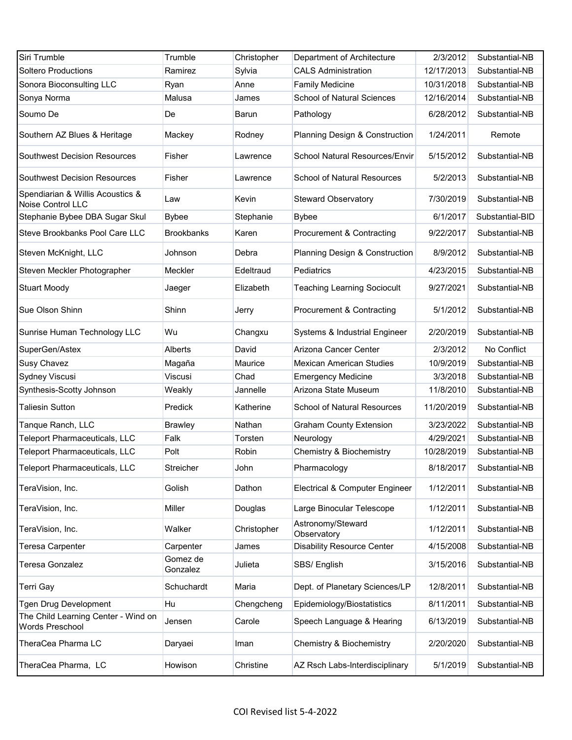| Siri Trumble                                           | Trumble              | Christopher | Department of Architecture         | 2/3/2012   | Substantial-NB  |
|--------------------------------------------------------|----------------------|-------------|------------------------------------|------------|-----------------|
| <b>Soltero Productions</b>                             | Ramirez              | Sylvia      | <b>CALS Administration</b>         | 12/17/2013 | Substantial-NB  |
| Sonora Bioconsulting LLC                               | Ryan                 | Anne        | <b>Family Medicine</b>             | 10/31/2018 | Substantial-NB  |
| Sonya Norma                                            | Malusa               | James       | <b>School of Natural Sciences</b>  | 12/16/2014 | Substantial-NB  |
| Soumo De                                               | De                   | Barun       | Pathology                          | 6/28/2012  | Substantial-NB  |
| Southern AZ Blues & Heritage                           | Mackey               | Rodney      | Planning Design & Construction     | 1/24/2011  | Remote          |
| <b>Southwest Decision Resources</b>                    | Fisher               | Lawrence    | School Natural Resources/Envir     | 5/15/2012  | Substantial-NB  |
| <b>Southwest Decision Resources</b>                    | Fisher               | Lawrence    | <b>School of Natural Resources</b> | 5/2/2013   | Substantial-NB  |
| Spendiarian & Willis Acoustics &<br>Noise Control LLC  | Law                  | Kevin       | <b>Steward Observatory</b>         | 7/30/2019  | Substantial-NB  |
| Stephanie Bybee DBA Sugar Skul                         | <b>Bybee</b>         | Stephanie   | <b>Bybee</b>                       | 6/1/2017   | Substantial-BID |
| Steve Brookbanks Pool Care LLC                         | <b>Brookbanks</b>    | Karen       | Procurement & Contracting          | 9/22/2017  | Substantial-NB  |
| Steven McKnight, LLC                                   | Johnson              | Debra       | Planning Design & Construction     | 8/9/2012   | Substantial-NB  |
| Steven Meckler Photographer                            | Meckler              | Edeltraud   | Pediatrics                         | 4/23/2015  | Substantial-NB  |
| <b>Stuart Moody</b>                                    | Jaeger               | Elizabeth   | <b>Teaching Learning Sociocult</b> | 9/27/2021  | Substantial-NB  |
| Sue Olson Shinn                                        | Shinn                | Jerry       | Procurement & Contracting          | 5/1/2012   | Substantial-NB  |
| Sunrise Human Technology LLC                           | Wu                   | Changxu     | Systems & Industrial Engineer      | 2/20/2019  | Substantial-NB  |
| SuperGen/Astex                                         | <b>Alberts</b>       | David       | Arizona Cancer Center              | 2/3/2012   | No Conflict     |
| <b>Susy Chavez</b>                                     | Magaña               | Maurice     | <b>Mexican American Studies</b>    | 10/9/2019  | Substantial-NB  |
| Sydney Viscusi                                         | Viscusi              | Chad        | <b>Emergency Medicine</b>          | 3/3/2018   | Substantial-NB  |
| Synthesis-Scotty Johnson                               | Weakly               | Jannelle    | Arizona State Museum               | 11/8/2010  | Substantial-NB  |
| <b>Taliesin Sutton</b>                                 | Predick              | Katherine   | School of Natural Resources        | 11/20/2019 | Substantial-NB  |
| Tanque Ranch, LLC                                      | <b>Brawley</b>       | Nathan      | <b>Graham County Extension</b>     | 3/23/2022  | Substantial-NB  |
| <b>Teleport Pharmaceuticals, LLC</b>                   | Falk                 | Torsten     | Neurology                          | 4/29/2021  | Substantial-NB  |
| Teleport Pharmaceuticals, LLC                          | Polt                 | Robin       | Chemistry & Biochemistry           | 10/28/2019 | Substantial-NB  |
| Teleport Pharmaceuticals, LLC                          | Streicher            | John        | Pharmacology                       | 8/18/2017  | Substantial-NB  |
| TeraVision, Inc.                                       | Golish               | Dathon      | Electrical & Computer Engineer     | 1/12/2011  | Substantial-NB  |
| TeraVision, Inc.                                       | Miller               | Douglas     | Large Binocular Telescope          | 1/12/2011  | Substantial-NB  |
| TeraVision, Inc.                                       | Walker               | Christopher | Astronomy/Steward<br>Observatory   | 1/12/2011  | Substantial-NB  |
| Teresa Carpenter                                       | Carpenter            | James       | <b>Disability Resource Center</b>  | 4/15/2008  | Substantial-NB  |
| Teresa Gonzalez                                        | Gomez de<br>Gonzalez | Julieta     | SBS/ English                       | 3/15/2016  | Substantial-NB  |
| <b>Terri Gay</b>                                       | Schuchardt           | Maria       | Dept. of Planetary Sciences/LP     | 12/8/2011  | Substantial-NB  |
| Tgen Drug Development                                  | Hu                   | Chengcheng  | Epidemiology/Biostatistics         | 8/11/2011  | Substantial-NB  |
| The Child Learning Center - Wind on<br>Words Preschool | Jensen               | Carole      | Speech Language & Hearing          | 6/13/2019  | Substantial-NB  |
| TheraCea Pharma LC                                     | Daryaei              | Iman        | Chemistry & Biochemistry           | 2/20/2020  | Substantial-NB  |
| TheraCea Pharma, LC                                    | Howison              | Christine   | AZ Rsch Labs-Interdisciplinary     | 5/1/2019   | Substantial-NB  |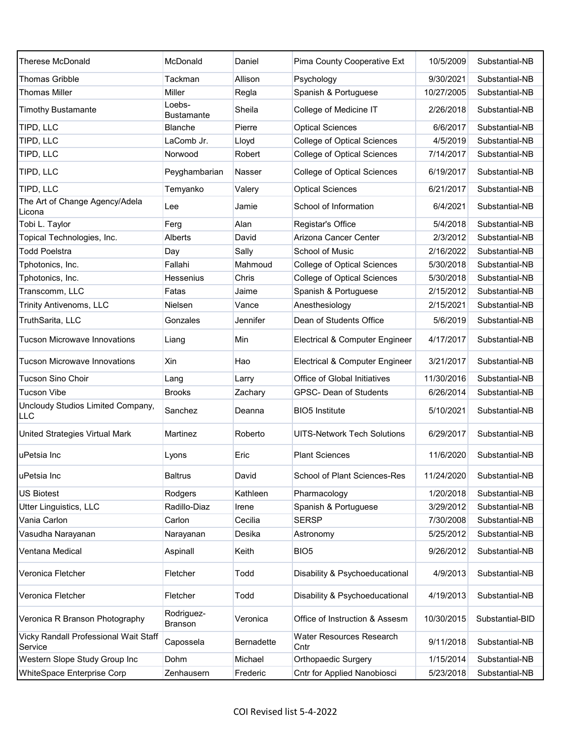| <b>Therese McDonald</b>                          | McDonald                     | Daniel     | Pima County Cooperative Ext        | 10/5/2009  | Substantial-NB  |
|--------------------------------------------------|------------------------------|------------|------------------------------------|------------|-----------------|
| <b>Thomas Gribble</b>                            | Tackman                      | Allison    | Psychology                         | 9/30/2021  | Substantial-NB  |
| <b>Thomas Miller</b>                             | Miller                       | Regla      | Spanish & Portuguese               | 10/27/2005 | Substantial-NB  |
| <b>Timothy Bustamante</b>                        | Loebs-<br><b>Bustamante</b>  | Sheila     | College of Medicine IT             | 2/26/2018  | Substantial-NB  |
| TIPD, LLC                                        | <b>Blanche</b>               | Pierre     | <b>Optical Sciences</b>            | 6/6/2017   | Substantial-NB  |
| TIPD, LLC                                        | LaComb Jr.                   | Lloyd      | <b>College of Optical Sciences</b> | 4/5/2019   | Substantial-NB  |
| TIPD, LLC                                        | Norwood                      | Robert     | <b>College of Optical Sciences</b> | 7/14/2017  | Substantial-NB  |
| TIPD, LLC                                        | Peyghambarian                | Nasser     | <b>College of Optical Sciences</b> | 6/19/2017  | Substantial-NB  |
| TIPD, LLC                                        | Temyanko                     | Valery     | <b>Optical Sciences</b>            | 6/21/2017  | Substantial-NB  |
| The Art of Change Agency/Adela<br>_icona         | Lee                          | Jamie      | School of Information              | 6/4/2021   | Substantial-NB  |
| Tobi L. Taylor                                   | Ferg                         | Alan       | Registar's Office                  | 5/4/2018   | Substantial-NB  |
| Topical Technologies, Inc.                       | Alberts                      | David      | Arizona Cancer Center              | 2/3/2012   | Substantial-NB  |
| <b>Todd Poelstra</b>                             | Day                          | Sally      | School of Music                    | 2/16/2022  | Substantial-NB  |
| Tphotonics, Inc.                                 | Fallahi                      | Mahmoud    | <b>College of Optical Sciences</b> | 5/30/2018  | Substantial-NB  |
| Tphotonics, Inc.                                 | Hessenius                    | Chris      | <b>College of Optical Sciences</b> | 5/30/2018  | Substantial-NB  |
| Transcomm, LLC                                   | Fatas                        | Jaime      | Spanish & Portuguese               | 2/15/2012  | Substantial-NB  |
| Trinity Antivenoms, LLC                          | Nielsen                      | Vance      | Anesthesiology                     | 2/15/2021  | Substantial-NB  |
| TruthSarita, LLC                                 | Gonzales                     | Jennifer   | Dean of Students Office            | 5/6/2019   | Substantial-NB  |
| <b>Tucson Microwave Innovations</b>              | Liang                        | Min        | Electrical & Computer Engineer     | 4/17/2017  | Substantial-NB  |
| <b>Tucson Microwave Innovations</b>              | Xin                          | Hao        | Electrical & Computer Engineer     | 3/21/2017  | Substantial-NB  |
| <b>Tucson Sino Choir</b>                         | Lang                         | Larry      | Office of Global Initiatives       | 11/30/2016 | Substantial-NB  |
| <b>Tucson Vibe</b>                               | <b>Brooks</b>                | Zachary    | <b>GPSC- Dean of Students</b>      | 6/26/2014  | Substantial-NB  |
| Uncloudy Studios Limited Company,<br>LLC         | Sanchez                      | Deanna     | <b>BIO5</b> Institute              | 5/10/2021  | Substantial-NB  |
| United Strategies Virtual Mark                   | Martinez                     | Roberto    | <b>UITS-Network Tech Solutions</b> | 6/29/2017  | Substantial-NB  |
| uPetsia Inc                                      | Lyons                        | Eric       | <b>Plant Sciences</b>              | 11/6/2020  | Substantial-NB  |
| uPetsia Inc                                      | <b>Baltrus</b>               | David      | School of Plant Sciences-Res       | 11/24/2020 | Substantial-NB  |
| US Biotest                                       | Rodgers                      | Kathleen   | Pharmacology                       | 1/20/2018  | Substantial-NB  |
| Utter Linguistics, LLC                           | Radillo-Diaz                 | Irene      | Spanish & Portuguese               | 3/29/2012  | Substantial-NB  |
| Vania Carlon                                     | Carlon                       | Cecilia    | <b>SERSP</b>                       | 7/30/2008  | Substantial-NB  |
| Vasudha Narayanan                                | Narayanan                    | Desika     | Astronomy                          | 5/25/2012  | Substantial-NB  |
| Ventana Medical                                  | Aspinall                     | Keith      | BIO <sub>5</sub>                   | 9/26/2012  | Substantial-NB  |
| Veronica Fletcher                                | Fletcher                     | Todd       | Disability & Psychoeducational     | 4/9/2013   | Substantial-NB  |
| Veronica Fletcher                                | Fletcher                     | Todd       | Disability & Psychoeducational     | 4/19/2013  | Substantial-NB  |
| Veronica R Branson Photography                   | Rodriguez-<br><b>Branson</b> | Veronica   | Office of Instruction & Assesm     | 10/30/2015 | Substantial-BID |
| Vicky Randall Professional Wait Staff<br>Service | Capossela                    | Bernadette | Water Resources Research<br>Cntr   | 9/11/2018  | Substantial-NB  |
| Western Slope Study Group Inc                    | Dohm                         | Michael    | <b>Orthopaedic Surgery</b>         | 1/15/2014  | Substantial-NB  |
| WhiteSpace Enterprise Corp                       | Zenhausern                   | Frederic   | Cntr for Applied Nanobiosci        | 5/23/2018  | Substantial-NB  |